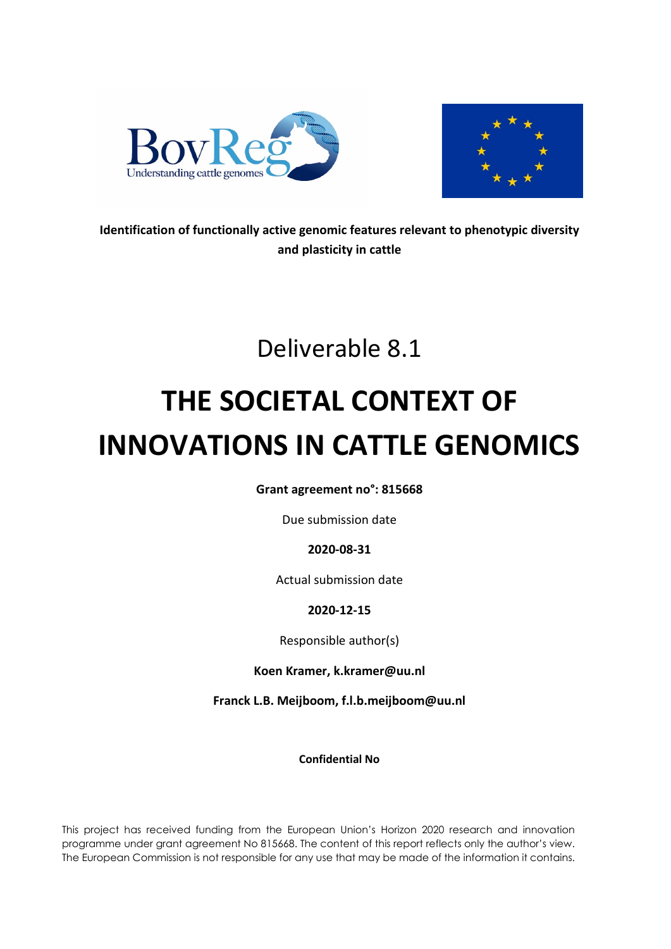



**Identification of functionally active genomic features relevant to phenotypic diversity and plasticity in cattle**

## Deliverable 8.1

# **THE SOCIETAL CONTEXT OF INNOVATIONS IN CATTLE GENOMICS**

**Grant agreement no°: 815668**

Due submission date

## **2020-08-31**

Actual submission date

## **2020-12-15**

Responsible author(s)

**Koen Kramer, k.kramer@uu.nl**

**Franck L.B. Meijboom, f.l.b.meijboom@uu.nl**

**Confidential No** 

This project has received funding from the European Union's Horizon 2020 research and innovation programme under grant agreement No 815668. The content of this report reflects only the author's view. The European Commission is not responsible for any use that may be made of the information it contains.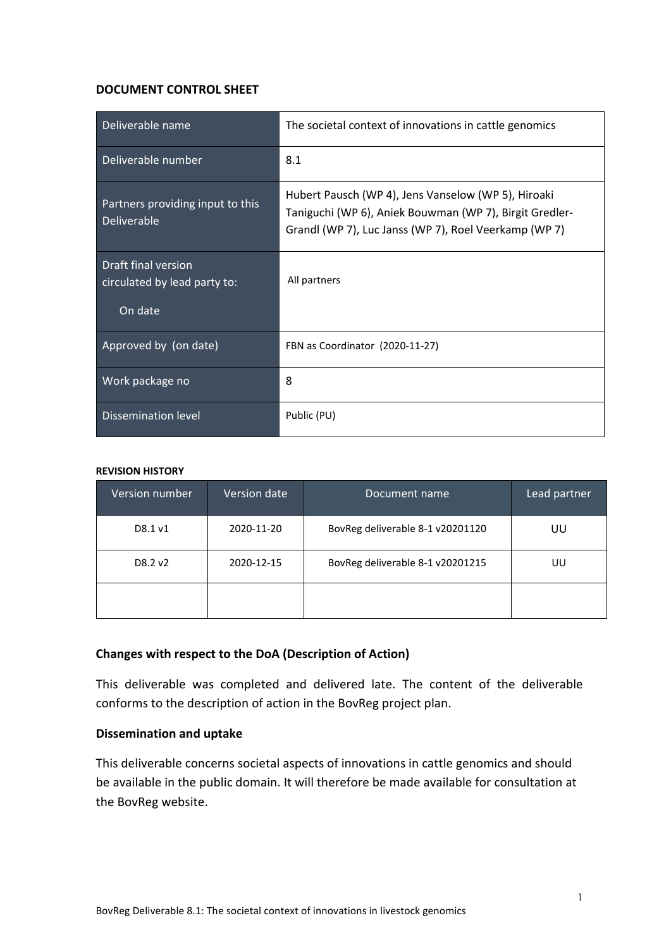#### **DOCUMENT CONTROL SHEET**

| Deliverable name                                               | The societal context of innovations in cattle genomics                                                                                                                  |  |
|----------------------------------------------------------------|-------------------------------------------------------------------------------------------------------------------------------------------------------------------------|--|
| Deliverable number                                             | 8.1                                                                                                                                                                     |  |
| Partners providing input to this<br><b>Deliverable</b>         | Hubert Pausch (WP 4), Jens Vanselow (WP 5), Hiroaki<br>Taniguchi (WP 6), Aniek Bouwman (WP 7), Birgit Gredler-<br>Grandl (WP 7), Luc Janss (WP 7), Roel Veerkamp (WP 7) |  |
| Draft final version<br>circulated by lead party to:<br>On date | All partners                                                                                                                                                            |  |
|                                                                |                                                                                                                                                                         |  |
| Approved by (on date)                                          | FBN as Coordinator (2020-11-27)                                                                                                                                         |  |
| Work package no                                                | 8                                                                                                                                                                       |  |
| <b>Dissemination level</b>                                     | Public (PU)                                                                                                                                                             |  |

#### **REVISION HISTORY**

| <b>Version number</b> | <b>Version date</b> | Document name                    | Lead partner |
|-----------------------|---------------------|----------------------------------|--------------|
| D8.1 v1               | 2020-11-20          | BovReg deliverable 8-1 v20201120 | UU           |
| D8.2 v2               | 2020-12-15          | BovReg deliverable 8-1 v20201215 | UU           |
|                       |                     |                                  |              |

#### **Changes with respect to the DoA (Description of Action)**

This deliverable was completed and delivered late. The content of the deliverable conforms to the description of action in the BovReg project plan.

#### **Dissemination and uptake**

This deliverable concerns societal aspects of innovations in cattle genomics and should be available in the public domain. It will therefore be made available for consultation at the BovReg website.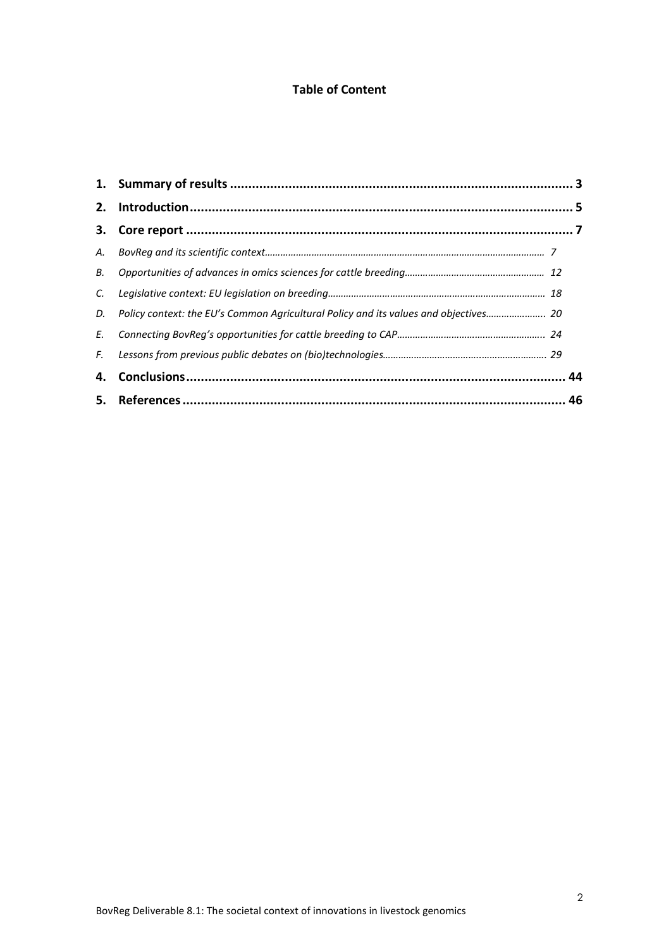## **Table of Content**

<span id="page-2-0"></span>

| C. |                                                                                         |  |
|----|-----------------------------------------------------------------------------------------|--|
|    | D. Policy context: the EU's Common Agricultural Policy and its values and objectives 20 |  |
|    |                                                                                         |  |
|    |                                                                                         |  |
|    |                                                                                         |  |
|    |                                                                                         |  |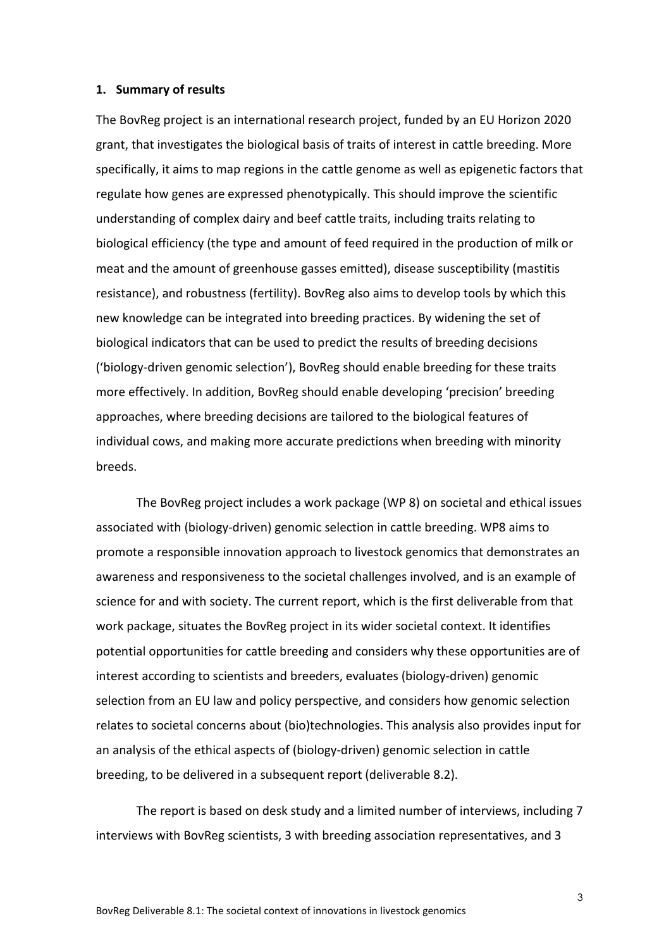#### **1. Summary of results**

The BovReg project is an international research project, funded by an EU Horizon 2020 grant, that investigates the biological basis of traits of interest in cattle breeding. More specifically, it aims to map regions in the cattle genome as well as epigenetic factors that regulate how genes are expressed phenotypically. This should improve the scientific understanding of complex dairy and beef cattle traits, including traits relating to biological efficiency (the type and amount of feed required in the production of milk or meat and the amount of greenhouse gasses emitted), disease susceptibility (mastitis resistance), and robustness (fertility). BovReg also aims to develop tools by which this new knowledge can be integrated into breeding practices. By widening the set of biological indicators that can be used to predict the results of breeding decisions ('biology-driven genomic selection'), BovReg should enable breeding for these traits more effectively. In addition, BovReg should enable developing 'precision' breeding approaches, where breeding decisions are tailored to the biological features of individual cows, and making more accurate predictions when breeding with minority breeds.

The BovReg project includes a work package (WP 8) on societal and ethical issues associated with (biology-driven) genomic selection in cattle breeding. WP8 aims to promote a responsible innovation approach to livestock genomics that demonstrates an awareness and responsiveness to the societal challenges involved, and is an example of science for and with society. The current report, which is the first deliverable from that work package, situates the BovReg project in its wider societal context. It identifies potential opportunities for cattle breeding and considers why these opportunities are of interest according to scientists and breeders, evaluates (biology-driven) genomic selection from an EU law and policy perspective, and considers how genomic selection relates to societal concerns about (bio)technologies. This analysis also provides input for an analysis of the ethical aspects of (biology-driven) genomic selection in cattle breeding, to be delivered in a subsequent report (deliverable 8.2).

The report is based on desk study and a limited number of interviews, including 7 interviews with BovReg scientists, 3 with breeding association representatives, and 3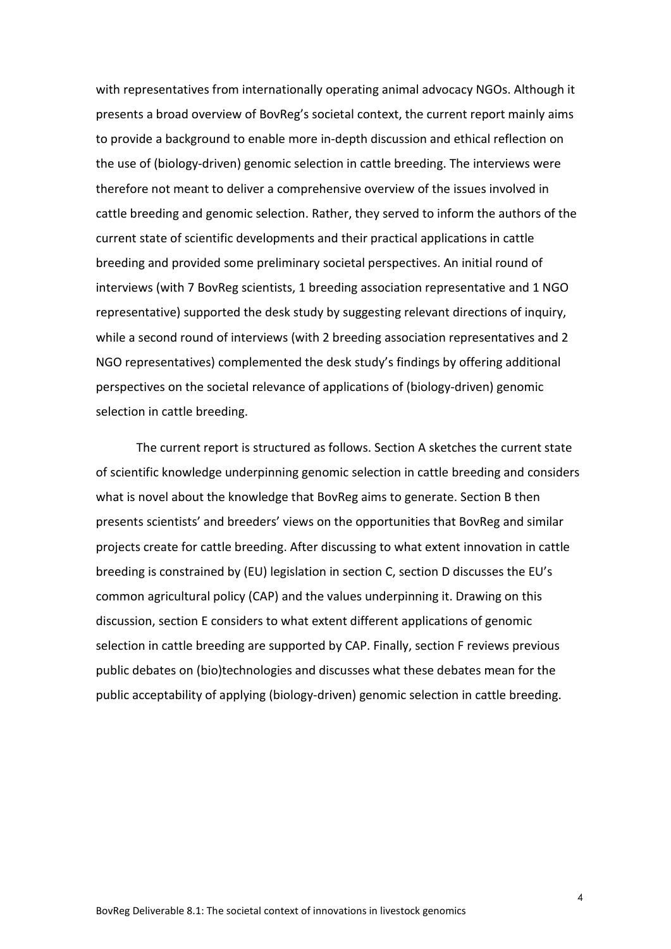with representatives from internationally operating animal advocacy NGOs. Although it presents a broad overview of BovReg's societal context, the current report mainly aims to provide a background to enable more in-depth discussion and ethical reflection on the use of (biology-driven) genomic selection in cattle breeding. The interviews were therefore not meant to deliver a comprehensive overview of the issues involved in cattle breeding and genomic selection. Rather, they served to inform the authors of the current state of scientific developments and their practical applications in cattle breeding and provided some preliminary societal perspectives. An initial round of interviews (with 7 BovReg scientists, 1 breeding association representative and 1 NGO representative) supported the desk study by suggesting relevant directions of inquiry, while a second round of interviews (with 2 breeding association representatives and 2 NGO representatives) complemented the desk study's findings by offering additional perspectives on the societal relevance of applications of (biology-driven) genomic selection in cattle breeding.

The current report is structured as follows. Section A sketches the current state of scientific knowledge underpinning genomic selection in cattle breeding and considers what is novel about the knowledge that BovReg aims to generate. Section B then presents scientists' and breeders' views on the opportunities that BovReg and similar projects create for cattle breeding. After discussing to what extent innovation in cattle breeding is constrained by (EU) legislation in section C, section D discusses the EU's common agricultural policy (CAP) and the values underpinning it. Drawing on this discussion, section E considers to what extent different applications of genomic selection in cattle breeding are supported by CAP. Finally, section F reviews previous public debates on (bio)technologies and discusses what these debates mean for the public acceptability of applying (biology-driven) genomic selection in cattle breeding.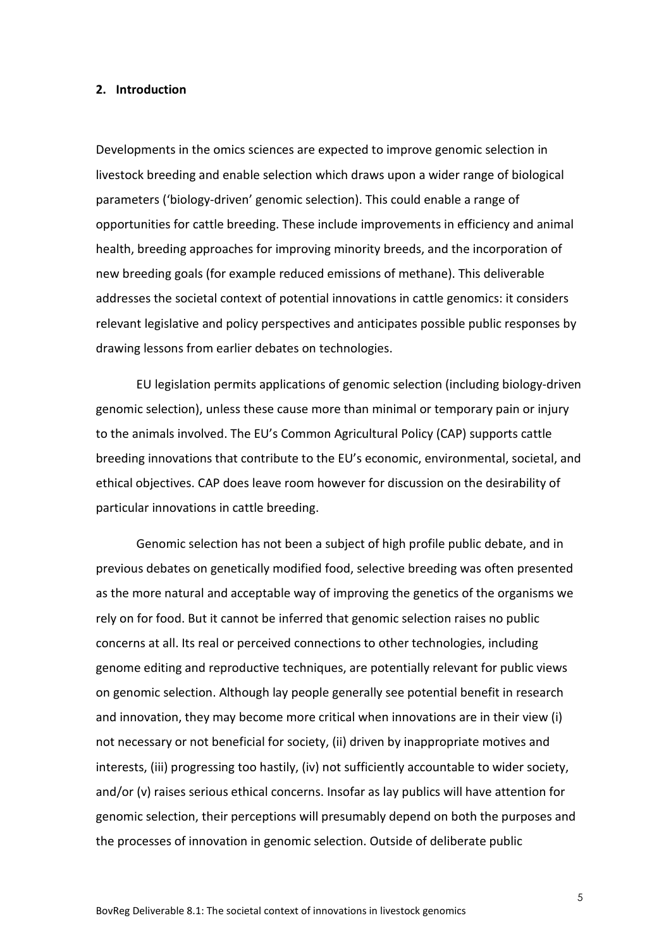#### <span id="page-5-0"></span>**2. Introduction**

Developments in the omics sciences are expected to improve genomic selection in livestock breeding and enable selection which draws upon a wider range of biological parameters ('biology-driven' genomic selection). This could enable a range of opportunities for cattle breeding. These include improvements in efficiency and animal health, breeding approaches for improving minority breeds, and the incorporation of new breeding goals (for example reduced emissions of methane). This deliverable addresses the societal context of potential innovations in cattle genomics: it considers relevant legislative and policy perspectives and anticipates possible public responses by drawing lessons from earlier debates on technologies.

EU legislation permits applications of genomic selection (including biology-driven genomic selection), unless these cause more than minimal or temporary pain or injury to the animals involved. The EU's Common Agricultural Policy (CAP) supports cattle breeding innovations that contribute to the EU's economic, environmental, societal, and ethical objectives. CAP does leave room however for discussion on the desirability of particular innovations in cattle breeding.

Genomic selection has not been a subject of high profile public debate, and in previous debates on genetically modified food, selective breeding was often presented as the more natural and acceptable way of improving the genetics of the organisms we rely on for food. But it cannot be inferred that genomic selection raises no public concerns at all. Its real or perceived connections to other technologies, including genome editing and reproductive techniques, are potentially relevant for public views on genomic selection. Although lay people generally see potential benefit in research and innovation, they may become more critical when innovations are in their view (i) not necessary or not beneficial for society, (ii) driven by inappropriate motives and interests, (iii) progressing too hastily, (iv) not sufficiently accountable to wider society, and/or (v) raises serious ethical concerns. Insofar as lay publics will have attention for genomic selection, their perceptions will presumably depend on both the purposes and the processes of innovation in genomic selection. Outside of deliberate public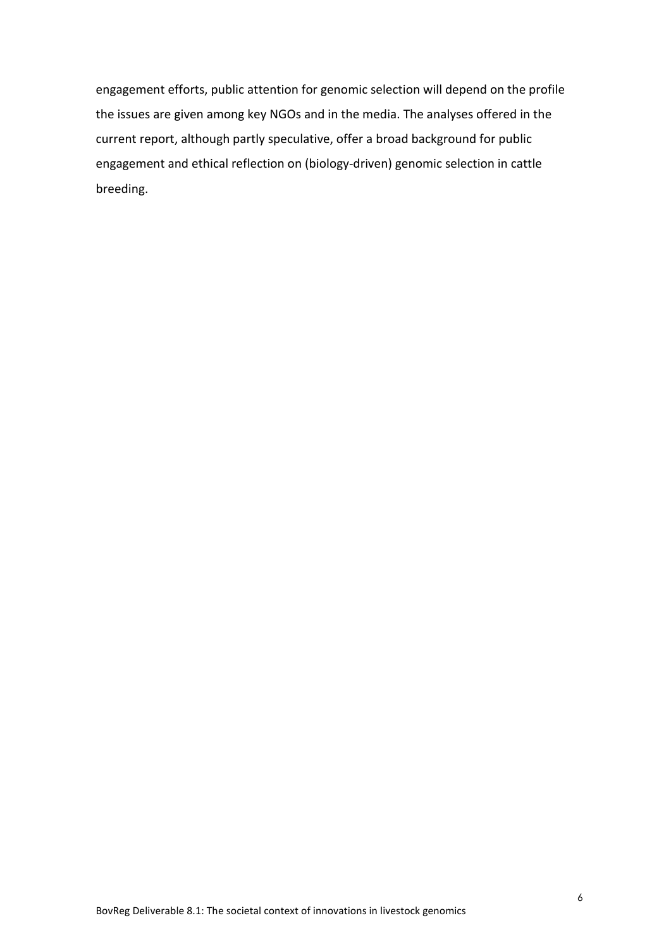engagement efforts, public attention for genomic selection will depend on the profile the issues are given among key NGOs and in the media. The analyses offered in the current report, although partly speculative, offer a broad background for public engagement and ethical reflection on (biology-driven) genomic selection in cattle breeding.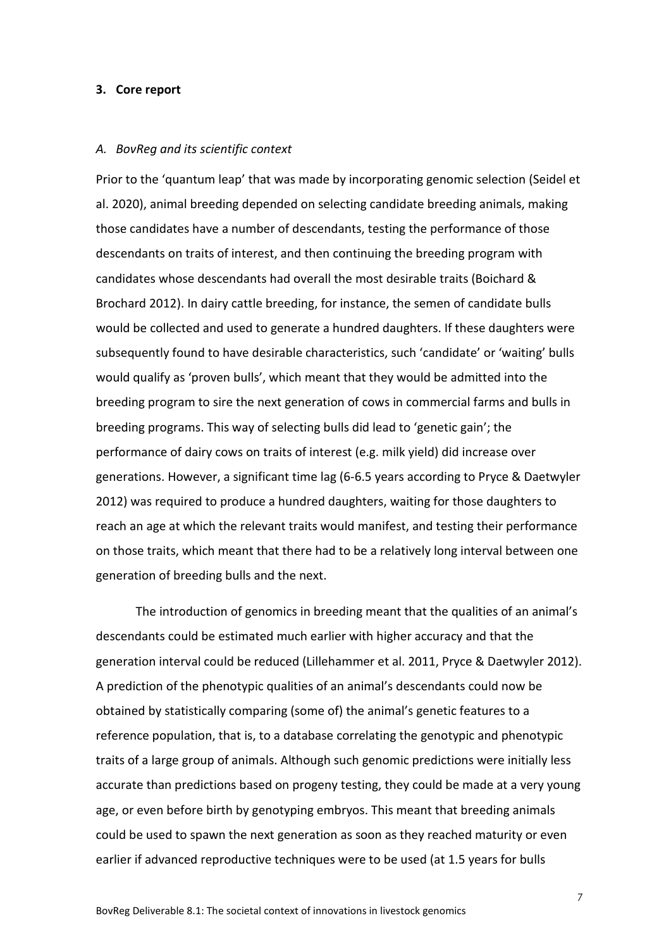#### <span id="page-7-0"></span>**3. Core report**

#### *A. BovReg and its scientific context*

Prior to the 'quantum leap' that was made by incorporating genomic selection (Seidel et al. 2020), animal breeding depended on selecting candidate breeding animals, making those candidates have a number of descendants, testing the performance of those descendants on traits of interest, and then continuing the breeding program with candidates whose descendants had overall the most desirable traits (Boichard & Brochard 2012). In dairy cattle breeding, for instance, the semen of candidate bulls would be collected and used to generate a hundred daughters. If these daughters were subsequently found to have desirable characteristics, such 'candidate' or 'waiting' bulls would qualify as 'proven bulls', which meant that they would be admitted into the breeding program to sire the next generation of cows in commercial farms and bulls in breeding programs. This way of selecting bulls did lead to 'genetic gain'; the performance of dairy cows on traits of interest (e.g. milk yield) did increase over generations. However, a significant time lag (6-6.5 years according to Pryce & Daetwyler 2012) was required to produce a hundred daughters, waiting for those daughters to reach an age at which the relevant traits would manifest, and testing their performance on those traits, which meant that there had to be a relatively long interval between one generation of breeding bulls and the next.

The introduction of genomics in breeding meant that the qualities of an animal's descendants could be estimated much earlier with higher accuracy and that the generation interval could be reduced (Lillehammer et al. 2011, Pryce & Daetwyler 2012). A prediction of the phenotypic qualities of an animal's descendants could now be obtained by statistically comparing (some of) the animal's genetic features to a reference population, that is, to a database correlating the genotypic and phenotypic traits of a large group of animals. Although such genomic predictions were initially less accurate than predictions based on progeny testing, they could be made at a very young age, or even before birth by genotyping embryos. This meant that breeding animals could be used to spawn the next generation as soon as they reached maturity or even earlier if advanced reproductive techniques were to be used (at 1.5 years for bulls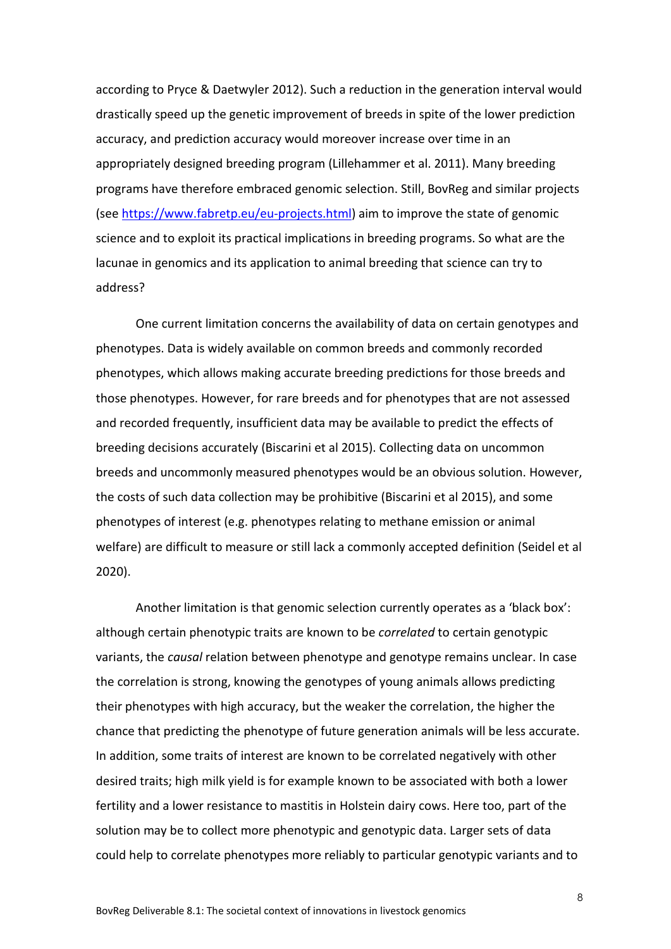according to Pryce & Daetwyler 2012). Such a reduction in the generation interval would drastically speed up the genetic improvement of breeds in spite of the lower prediction accuracy, and prediction accuracy would moreover increase over time in an appropriately designed breeding program (Lillehammer et al. 2011). Many breeding programs have therefore embraced genomic selection. Still, BovReg and similar projects (see [https://www.fabretp.eu/eu-projects.html\)](https://www.fabretp.eu/eu-projects.html) aim to improve the state of genomic science and to exploit its practical implications in breeding programs. So what are the lacunae in genomics and its application to animal breeding that science can try to address?

One current limitation concerns the availability of data on certain genotypes and phenotypes. Data is widely available on common breeds and commonly recorded phenotypes, which allows making accurate breeding predictions for those breeds and those phenotypes. However, for rare breeds and for phenotypes that are not assessed and recorded frequently, insufficient data may be available to predict the effects of breeding decisions accurately (Biscarini et al 2015). Collecting data on uncommon breeds and uncommonly measured phenotypes would be an obvious solution. However, the costs of such data collection may be prohibitive (Biscarini et al 2015), and some phenotypes of interest (e.g. phenotypes relating to methane emission or animal welfare) are difficult to measure or still lack a commonly accepted definition (Seidel et al 2020).

Another limitation is that genomic selection currently operates as a 'black box': although certain phenotypic traits are known to be *correlated* to certain genotypic variants, the *causal* relation between phenotype and genotype remains unclear. In case the correlation is strong, knowing the genotypes of young animals allows predicting their phenotypes with high accuracy, but the weaker the correlation, the higher the chance that predicting the phenotype of future generation animals will be less accurate. In addition, some traits of interest are known to be correlated negatively with other desired traits; high milk yield is for example known to be associated with both a lower fertility and a lower resistance to mastitis in Holstein dairy cows. Here too, part of the solution may be to collect more phenotypic and genotypic data. Larger sets of data could help to correlate phenotypes more reliably to particular genotypic variants and to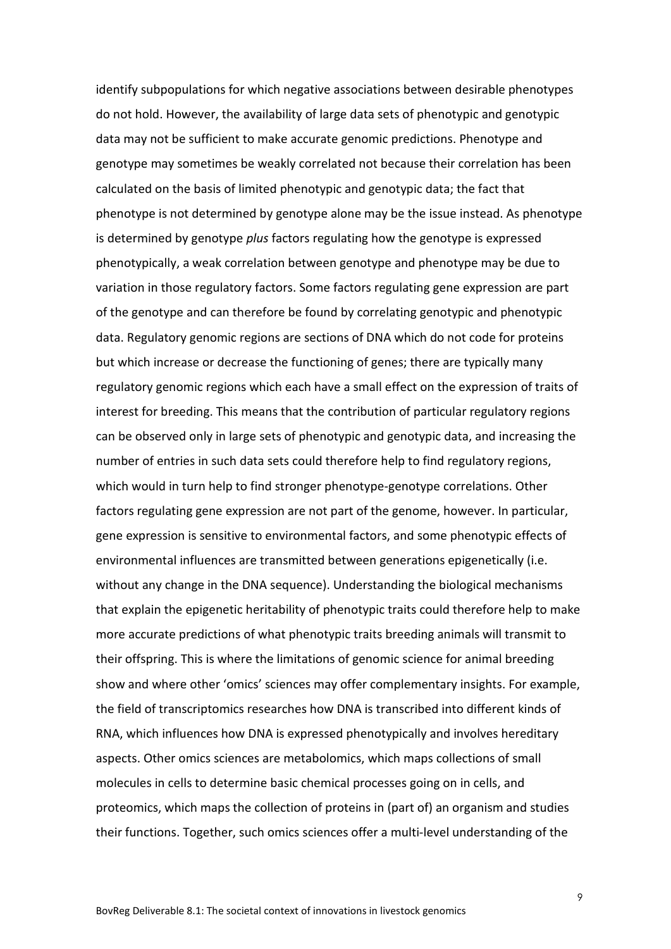identify subpopulations for which negative associations between desirable phenotypes do not hold. However, the availability of large data sets of phenotypic and genotypic data may not be sufficient to make accurate genomic predictions. Phenotype and genotype may sometimes be weakly correlated not because their correlation has been calculated on the basis of limited phenotypic and genotypic data; the fact that phenotype is not determined by genotype alone may be the issue instead. As phenotype is determined by genotype *plus* factors regulating how the genotype is expressed phenotypically, a weak correlation between genotype and phenotype may be due to variation in those regulatory factors. Some factors regulating gene expression are part of the genotype and can therefore be found by correlating genotypic and phenotypic data. Regulatory genomic regions are sections of DNA which do not code for proteins but which increase or decrease the functioning of genes; there are typically many regulatory genomic regions which each have a small effect on the expression of traits of interest for breeding. This means that the contribution of particular regulatory regions can be observed only in large sets of phenotypic and genotypic data, and increasing the number of entries in such data sets could therefore help to find regulatory regions, which would in turn help to find stronger phenotype-genotype correlations. Other factors regulating gene expression are not part of the genome, however. In particular, gene expression is sensitive to environmental factors, and some phenotypic effects of environmental influences are transmitted between generations epigenetically (i.e. without any change in the DNA sequence). Understanding the biological mechanisms that explain the epigenetic heritability of phenotypic traits could therefore help to make more accurate predictions of what phenotypic traits breeding animals will transmit to their offspring. This is where the limitations of genomic science for animal breeding show and where other 'omics' sciences may offer complementary insights. For example, the field of transcriptomics researches how DNA is transcribed into different kinds of RNA, which influences how DNA is expressed phenotypically and involves hereditary aspects. Other omics sciences are metabolomics, which maps collections of small molecules in cells to determine basic chemical processes going on in cells, and proteomics, which maps the collection of proteins in (part of) an organism and studies their functions. Together, such omics sciences offer a multi-level understanding of the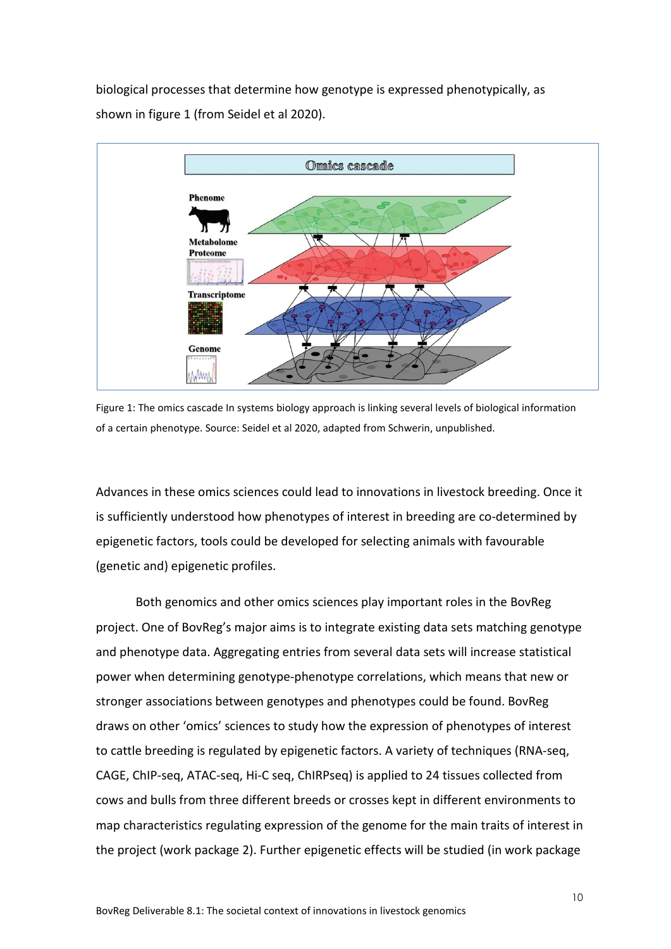biological processes that determine how genotype is expressed phenotypically, as shown in figure 1 (from Seidel et al 2020).



Figure 1: The omics cascade In systems biology approach is linking several levels of biological information of a certain phenotype. Source: Seidel et al 2020, adapted from Schwerin, unpublished.

Advances in these omics sciences could lead to innovations in livestock breeding. Once it is sufficiently understood how phenotypes of interest in breeding are co-determined by epigenetic factors, tools could be developed for selecting animals with favourable (genetic and) epigenetic profiles.

Both genomics and other omics sciences play important roles in the BovReg project. One of BovReg's major aims is to integrate existing data sets matching genotype and phenotype data. Aggregating entries from several data sets will increase statistical power when determining genotype-phenotype correlations, which means that new or stronger associations between genotypes and phenotypes could be found. BovReg draws on other 'omics' sciences to study how the expression of phenotypes of interest to cattle breeding is regulated by epigenetic factors. A variety of techniques (RNA-seq, CAGE, ChIP-seq, ATAC-seq, Hi-C seq, ChIRPseq) is applied to 24 tissues collected from cows and bulls from three different breeds or crosses kept in different environments to map characteristics regulating expression of the genome for the main traits of interest in the project (work package 2). Further epigenetic effects will be studied (in work package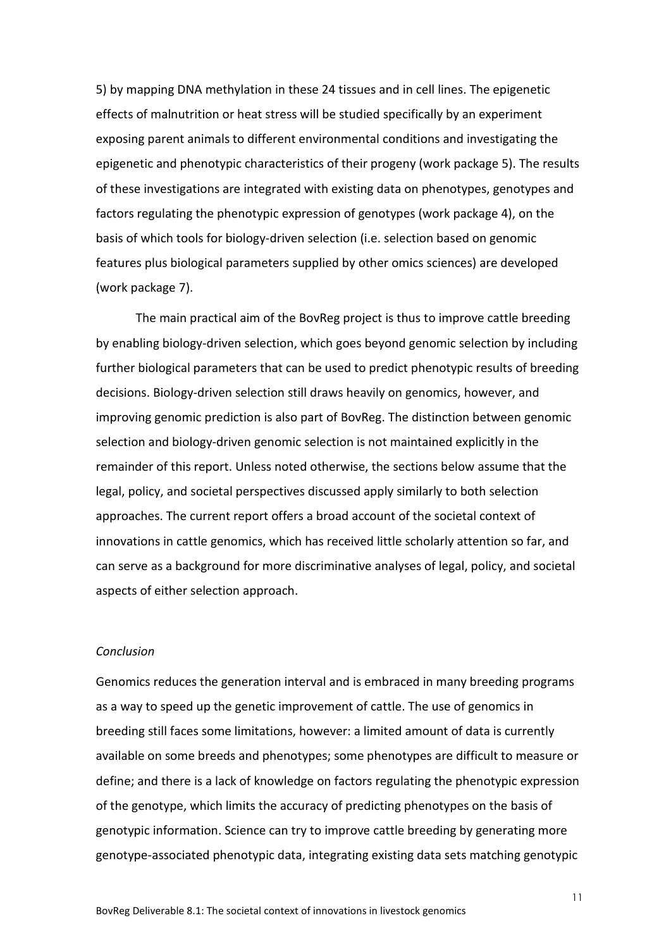5) by mapping DNA methylation in these 24 tissues and in cell lines. The epigenetic effects of malnutrition or heat stress will be studied specifically by an experiment exposing parent animals to different environmental conditions and investigating the epigenetic and phenotypic characteristics of their progeny (work package 5). The results of these investigations are integrated with existing data on phenotypes, genotypes and factors regulating the phenotypic expression of genotypes (work package 4), on the basis of which tools for biology-driven selection (i.e. selection based on genomic features plus biological parameters supplied by other omics sciences) are developed (work package 7).

The main practical aim of the BovReg project is thus to improve cattle breeding by enabling biology-driven selection, which goes beyond genomic selection by including further biological parameters that can be used to predict phenotypic results of breeding decisions. Biology-driven selection still draws heavily on genomics, however, and improving genomic prediction is also part of BovReg. The distinction between genomic selection and biology-driven genomic selection is not maintained explicitly in the remainder of this report. Unless noted otherwise, the sections below assume that the legal, policy, and societal perspectives discussed apply similarly to both selection approaches. The current report offers a broad account of the societal context of innovations in cattle genomics, which has received little scholarly attention so far, and can serve as a background for more discriminative analyses of legal, policy, and societal aspects of either selection approach.

#### *Conclusion*

Genomics reduces the generation interval and is embraced in many breeding programs as a way to speed up the genetic improvement of cattle. The use of genomics in breeding still faces some limitations, however: a limited amount of data is currently available on some breeds and phenotypes; some phenotypes are difficult to measure or define; and there is a lack of knowledge on factors regulating the phenotypic expression of the genotype, which limits the accuracy of predicting phenotypes on the basis of genotypic information. Science can try to improve cattle breeding by generating more genotype-associated phenotypic data, integrating existing data sets matching genotypic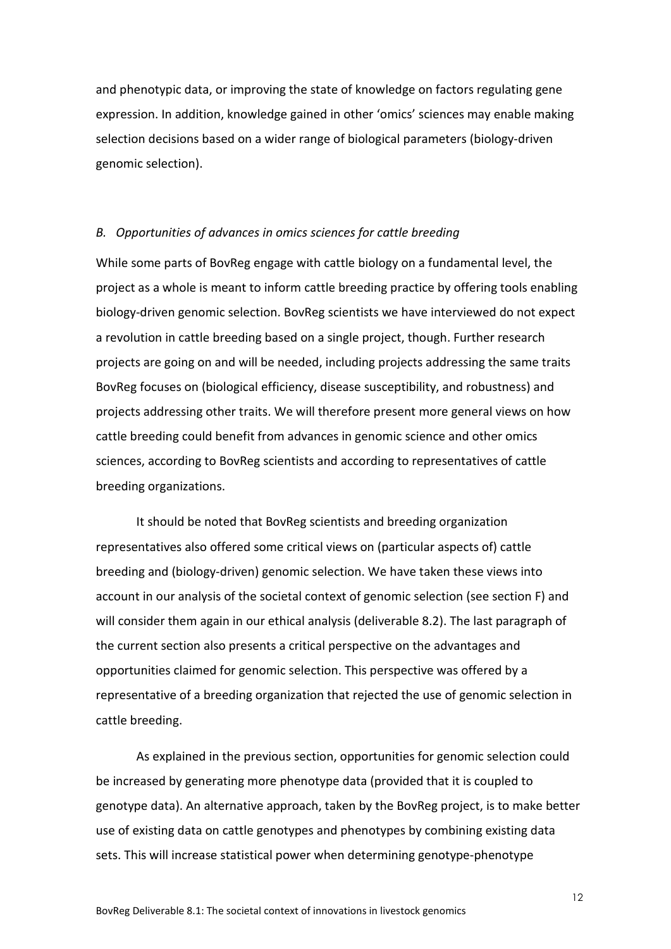and phenotypic data, or improving the state of knowledge on factors regulating gene expression. In addition, knowledge gained in other 'omics' sciences may enable making selection decisions based on a wider range of biological parameters (biology-driven genomic selection).

#### *B. Opportunities of advances in omics sciences for cattle breeding*

While some parts of BovReg engage with cattle biology on a fundamental level, the project as a whole is meant to inform cattle breeding practice by offering tools enabling biology-driven genomic selection. BovReg scientists we have interviewed do not expect a revolution in cattle breeding based on a single project, though. Further research projects are going on and will be needed, including projects addressing the same traits BovReg focuses on (biological efficiency, disease susceptibility, and robustness) and projects addressing other traits. We will therefore present more general views on how cattle breeding could benefit from advances in genomic science and other omics sciences, according to BovReg scientists and according to representatives of cattle breeding organizations.

It should be noted that BovReg scientists and breeding organization representatives also offered some critical views on (particular aspects of) cattle breeding and (biology-driven) genomic selection. We have taken these views into account in our analysis of the societal context of genomic selection (see section F) and will consider them again in our ethical analysis (deliverable 8.2). The last paragraph of the current section also presents a critical perspective on the advantages and opportunities claimed for genomic selection. This perspective was offered by a representative of a breeding organization that rejected the use of genomic selection in cattle breeding.

As explained in the previous section, opportunities for genomic selection could be increased by generating more phenotype data (provided that it is coupled to genotype data). An alternative approach, taken by the BovReg project, is to make better use of existing data on cattle genotypes and phenotypes by combining existing data sets. This will increase statistical power when determining genotype-phenotype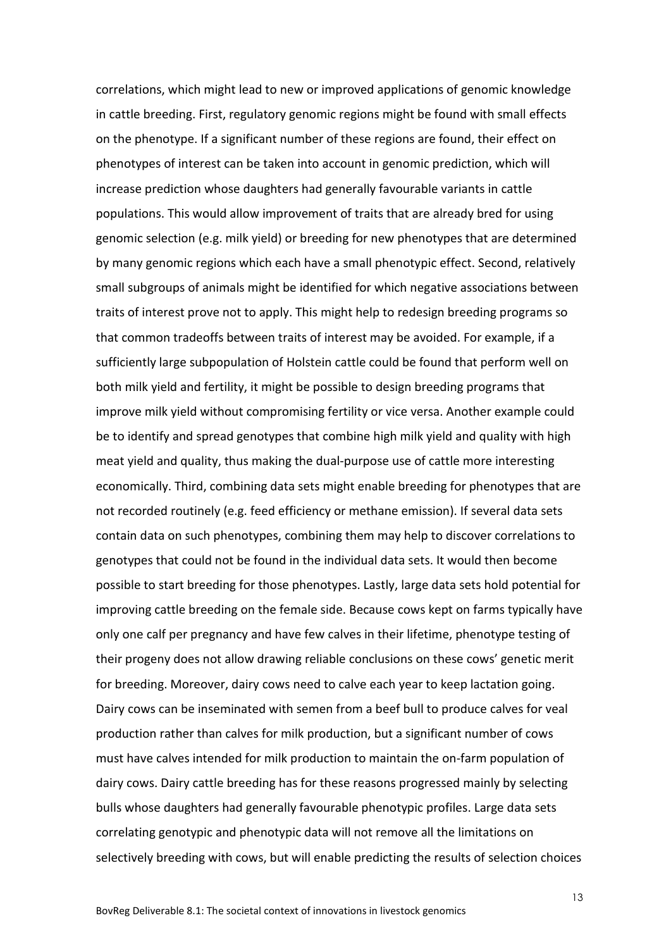correlations, which might lead to new or improved applications of genomic knowledge in cattle breeding. First, regulatory genomic regions might be found with small effects on the phenotype. If a significant number of these regions are found, their effect on phenotypes of interest can be taken into account in genomic prediction, which will increase prediction whose daughters had generally favourable variants in cattle populations. This would allow improvement of traits that are already bred for using genomic selection (e.g. milk yield) or breeding for new phenotypes that are determined by many genomic regions which each have a small phenotypic effect. Second, relatively small subgroups of animals might be identified for which negative associations between traits of interest prove not to apply. This might help to redesign breeding programs so that common tradeoffs between traits of interest may be avoided. For example, if a sufficiently large subpopulation of Holstein cattle could be found that perform well on both milk yield and fertility, it might be possible to design breeding programs that improve milk yield without compromising fertility or vice versa. Another example could be to identify and spread genotypes that combine high milk yield and quality with high meat yield and quality, thus making the dual-purpose use of cattle more interesting economically. Third, combining data sets might enable breeding for phenotypes that are not recorded routinely (e.g. feed efficiency or methane emission). If several data sets contain data on such phenotypes, combining them may help to discover correlations to genotypes that could not be found in the individual data sets. It would then become possible to start breeding for those phenotypes. Lastly, large data sets hold potential for improving cattle breeding on the female side. Because cows kept on farms typically have only one calf per pregnancy and have few calves in their lifetime, phenotype testing of their progeny does not allow drawing reliable conclusions on these cows' genetic merit for breeding. Moreover, dairy cows need to calve each year to keep lactation going. Dairy cows can be inseminated with semen from a beef bull to produce calves for veal production rather than calves for milk production, but a significant number of cows must have calves intended for milk production to maintain the on-farm population of dairy cows. Dairy cattle breeding has for these reasons progressed mainly by selecting bulls whose daughters had generally favourable phenotypic profiles. Large data sets correlating genotypic and phenotypic data will not remove all the limitations on selectively breeding with cows, but will enable predicting the results of selection choices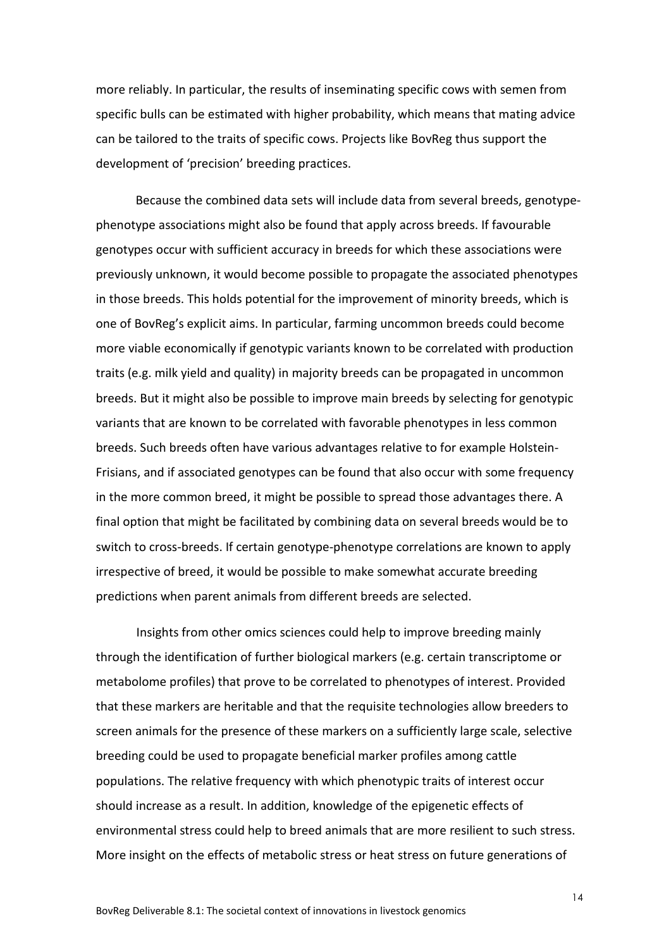more reliably. In particular, the results of inseminating specific cows with semen from specific bulls can be estimated with higher probability, which means that mating advice can be tailored to the traits of specific cows. Projects like BovReg thus support the development of 'precision' breeding practices.

Because the combined data sets will include data from several breeds, genotypephenotype associations might also be found that apply across breeds. If favourable genotypes occur with sufficient accuracy in breeds for which these associations were previously unknown, it would become possible to propagate the associated phenotypes in those breeds. This holds potential for the improvement of minority breeds, which is one of BovReg's explicit aims. In particular, farming uncommon breeds could become more viable economically if genotypic variants known to be correlated with production traits (e.g. milk yield and quality) in majority breeds can be propagated in uncommon breeds. But it might also be possible to improve main breeds by selecting for genotypic variants that are known to be correlated with favorable phenotypes in less common breeds. Such breeds often have various advantages relative to for example Holstein-Frisians, and if associated genotypes can be found that also occur with some frequency in the more common breed, it might be possible to spread those advantages there. A final option that might be facilitated by combining data on several breeds would be to switch to cross-breeds. If certain genotype-phenotype correlations are known to apply irrespective of breed, it would be possible to make somewhat accurate breeding predictions when parent animals from different breeds are selected.

Insights from other omics sciences could help to improve breeding mainly through the identification of further biological markers (e.g. certain transcriptome or metabolome profiles) that prove to be correlated to phenotypes of interest. Provided that these markers are heritable and that the requisite technologies allow breeders to screen animals for the presence of these markers on a sufficiently large scale, selective breeding could be used to propagate beneficial marker profiles among cattle populations. The relative frequency with which phenotypic traits of interest occur should increase as a result. In addition, knowledge of the epigenetic effects of environmental stress could help to breed animals that are more resilient to such stress. More insight on the effects of metabolic stress or heat stress on future generations of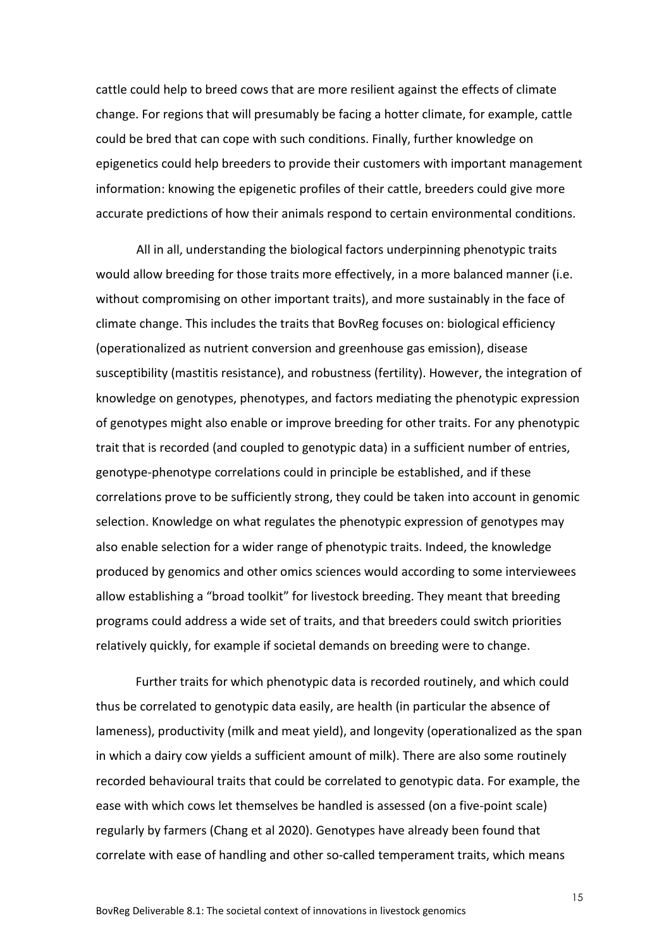cattle could help to breed cows that are more resilient against the effects of climate change. For regions that will presumably be facing a hotter climate, for example, cattle could be bred that can cope with such conditions. Finally, further knowledge on epigenetics could help breeders to provide their customers with important management information: knowing the epigenetic profiles of their cattle, breeders could give more accurate predictions of how their animals respond to certain environmental conditions.

All in all, understanding the biological factors underpinning phenotypic traits would allow breeding for those traits more effectively, in a more balanced manner (i.e. without compromising on other important traits), and more sustainably in the face of climate change. This includes the traits that BovReg focuses on: biological efficiency (operationalized as nutrient conversion and greenhouse gas emission), disease susceptibility (mastitis resistance), and robustness (fertility). However, the integration of knowledge on genotypes, phenotypes, and factors mediating the phenotypic expression of genotypes might also enable or improve breeding for other traits. For any phenotypic trait that is recorded (and coupled to genotypic data) in a sufficient number of entries, genotype-phenotype correlations could in principle be established, and if these correlations prove to be sufficiently strong, they could be taken into account in genomic selection. Knowledge on what regulates the phenotypic expression of genotypes may also enable selection for a wider range of phenotypic traits. Indeed, the knowledge produced by genomics and other omics sciences would according to some interviewees allow establishing a "broad toolkit" for livestock breeding. They meant that breeding programs could address a wide set of traits, and that breeders could switch priorities relatively quickly, for example if societal demands on breeding were to change.

Further traits for which phenotypic data is recorded routinely, and which could thus be correlated to genotypic data easily, are health (in particular the absence of lameness), productivity (milk and meat yield), and longevity (operationalized as the span in which a dairy cow yields a sufficient amount of milk). There are also some routinely recorded behavioural traits that could be correlated to genotypic data. For example, the ease with which cows let themselves be handled is assessed (on a five-point scale) regularly by farmers (Chang et al 2020). Genotypes have already been found that correlate with ease of handling and other so-called temperament traits, which means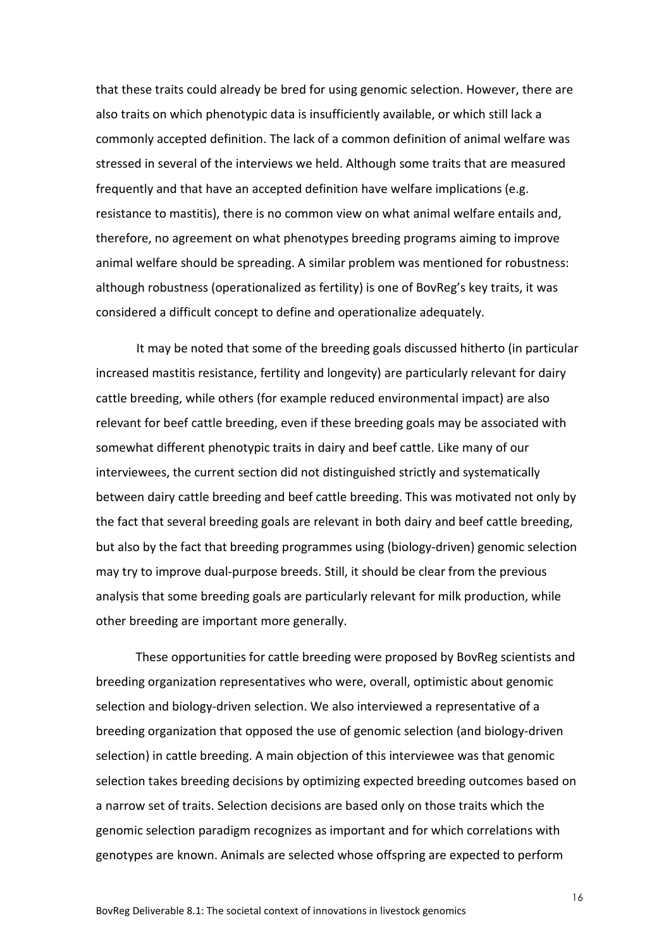that these traits could already be bred for using genomic selection. However, there are also traits on which phenotypic data is insufficiently available, or which still lack a commonly accepted definition. The lack of a common definition of animal welfare was stressed in several of the interviews we held. Although some traits that are measured frequently and that have an accepted definition have welfare implications (e.g. resistance to mastitis), there is no common view on what animal welfare entails and, therefore, no agreement on what phenotypes breeding programs aiming to improve animal welfare should be spreading. A similar problem was mentioned for robustness: although robustness (operationalized as fertility) is one of BovReg's key traits, it was considered a difficult concept to define and operationalize adequately.

It may be noted that some of the breeding goals discussed hitherto (in particular increased mastitis resistance, fertility and longevity) are particularly relevant for dairy cattle breeding, while others (for example reduced environmental impact) are also relevant for beef cattle breeding, even if these breeding goals may be associated with somewhat different phenotypic traits in dairy and beef cattle. Like many of our interviewees, the current section did not distinguished strictly and systematically between dairy cattle breeding and beef cattle breeding. This was motivated not only by the fact that several breeding goals are relevant in both dairy and beef cattle breeding, but also by the fact that breeding programmes using (biology-driven) genomic selection may try to improve dual-purpose breeds. Still, it should be clear from the previous analysis that some breeding goals are particularly relevant for milk production, while other breeding are important more generally.

These opportunities for cattle breeding were proposed by BovReg scientists and breeding organization representatives who were, overall, optimistic about genomic selection and biology-driven selection. We also interviewed a representative of a breeding organization that opposed the use of genomic selection (and biology-driven selection) in cattle breeding. A main objection of this interviewee was that genomic selection takes breeding decisions by optimizing expected breeding outcomes based on a narrow set of traits. Selection decisions are based only on those traits which the genomic selection paradigm recognizes as important and for which correlations with genotypes are known. Animals are selected whose offspring are expected to perform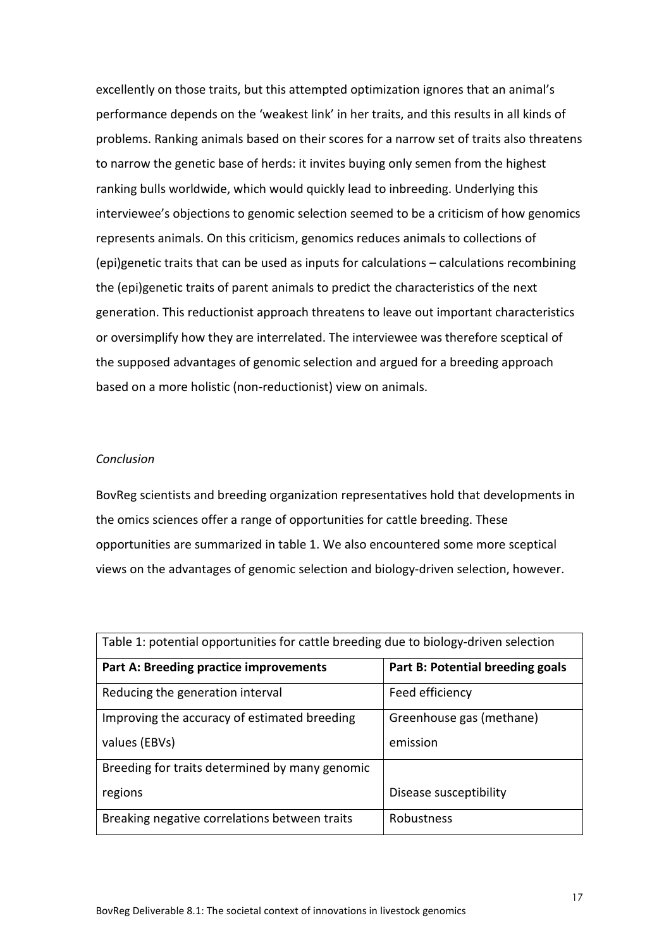excellently on those traits, but this attempted optimization ignores that an animal's performance depends on the 'weakest link' in her traits, and this results in all kinds of problems. Ranking animals based on their scores for a narrow set of traits also threatens to narrow the genetic base of herds: it invites buying only semen from the highest ranking bulls worldwide, which would quickly lead to inbreeding. Underlying this interviewee's objections to genomic selection seemed to be a criticism of how genomics represents animals. On this criticism, genomics reduces animals to collections of (epi)genetic traits that can be used as inputs for calculations – calculations recombining the (epi)genetic traits of parent animals to predict the characteristics of the next generation. This reductionist approach threatens to leave out important characteristics or oversimplify how they are interrelated. The interviewee was therefore sceptical of the supposed advantages of genomic selection and argued for a breeding approach based on a more holistic (non-reductionist) view on animals.

#### *Conclusion*

BovReg scientists and breeding organization representatives hold that developments in the omics sciences offer a range of opportunities for cattle breeding. These opportunities are summarized in table 1. We also encountered some more sceptical views on the advantages of genomic selection and biology-driven selection, however.

| Table 1: potential opportunities for cattle breeding due to biology-driven selection |                                  |  |  |
|--------------------------------------------------------------------------------------|----------------------------------|--|--|
| <b>Part A: Breeding practice improvements</b>                                        | Part B: Potential breeding goals |  |  |
| Reducing the generation interval                                                     | Feed efficiency                  |  |  |
| Improving the accuracy of estimated breeding                                         | Greenhouse gas (methane)         |  |  |
| values (EBVs)                                                                        | emission                         |  |  |
| Breeding for traits determined by many genomic                                       |                                  |  |  |
| regions                                                                              | Disease susceptibility           |  |  |
| Breaking negative correlations between traits                                        | Robustness                       |  |  |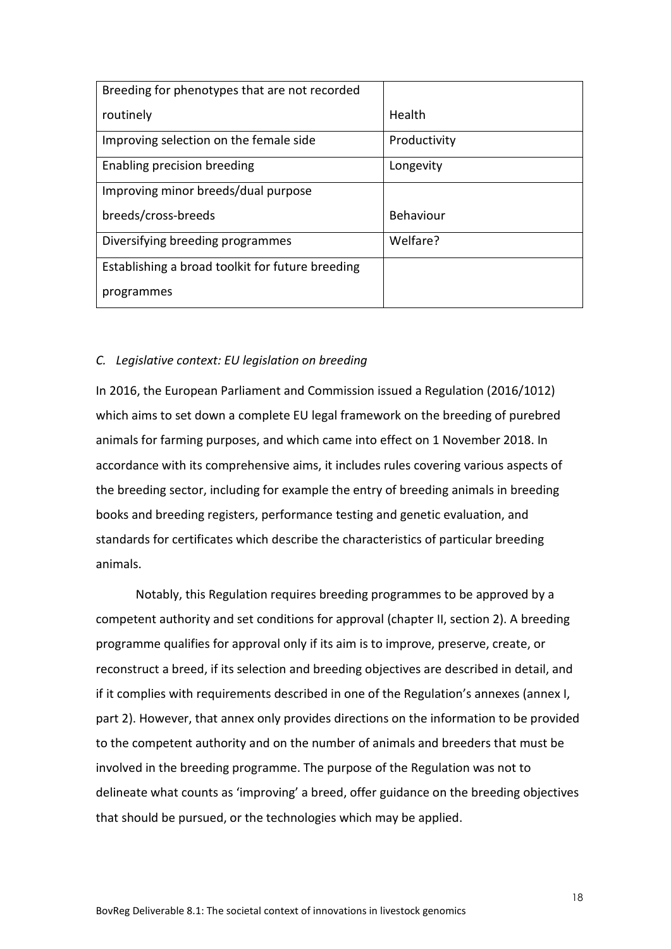| Breeding for phenotypes that are not recorded    |                  |
|--------------------------------------------------|------------------|
| routinely                                        | Health           |
| Improving selection on the female side           | Productivity     |
| Enabling precision breeding                      | Longevity        |
| Improving minor breeds/dual purpose              |                  |
| breeds/cross-breeds                              | <b>Behaviour</b> |
| Diversifying breeding programmes                 | Welfare?         |
| Establishing a broad toolkit for future breeding |                  |
| programmes                                       |                  |

#### *C. Legislative context: EU legislation on breeding*

In 2016, the European Parliament and Commission issued a Regulation (2016/1012) which aims to set down a complete EU legal framework on the breeding of purebred animals for farming purposes, and which came into effect on 1 November 2018. In accordance with its comprehensive aims, it includes rules covering various aspects of the breeding sector, including for example the entry of breeding animals in breeding books and breeding registers, performance testing and genetic evaluation, and standards for certificates which describe the characteristics of particular breeding animals.

Notably, this Regulation requires breeding programmes to be approved by a competent authority and set conditions for approval (chapter II, section 2). A breeding programme qualifies for approval only if its aim is to improve, preserve, create, or reconstruct a breed, if its selection and breeding objectives are described in detail, and if it complies with requirements described in one of the Regulation's annexes (annex I, part 2). However, that annex only provides directions on the information to be provided to the competent authority and on the number of animals and breeders that must be involved in the breeding programme. The purpose of the Regulation was not to delineate what counts as 'improving' a breed, offer guidance on the breeding objectives that should be pursued, or the technologies which may be applied.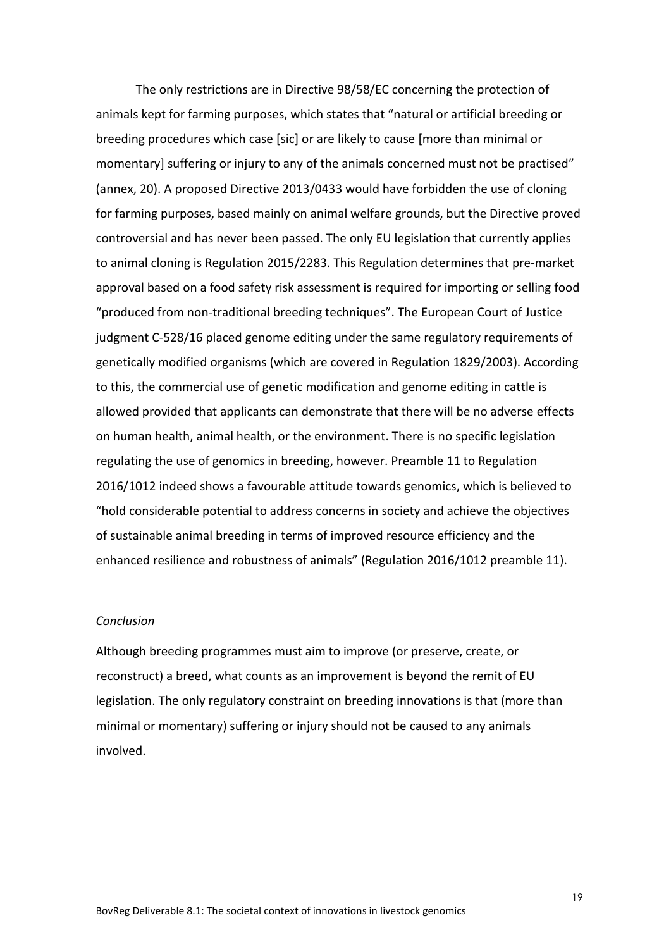The only restrictions are in Directive 98/58/EC concerning the protection of animals kept for farming purposes, which states that "natural or artificial breeding or breeding procedures which case [sic] or are likely to cause [more than minimal or momentary] suffering or injury to any of the animals concerned must not be practised" (annex, 20). A proposed Directive 2013/0433 would have forbidden the use of cloning for farming purposes, based mainly on animal welfare grounds, but the Directive proved controversial and has never been passed. The only EU legislation that currently applies to animal cloning is Regulation 2015/2283. This Regulation determines that pre-market approval based on a food safety risk assessment is required for importing or selling food "produced from non-traditional breeding techniques". The European Court of Justice judgment C-528/16 placed genome editing under the same regulatory requirements of genetically modified organisms (which are covered in Regulation 1829/2003). According to this, the commercial use of genetic modification and genome editing in cattle is allowed provided that applicants can demonstrate that there will be no adverse effects on human health, animal health, or the environment. There is no specific legislation regulating the use of genomics in breeding, however. Preamble 11 to Regulation 2016/1012 indeed shows a favourable attitude towards genomics, which is believed to "hold considerable potential to address concerns in society and achieve the objectives of sustainable animal breeding in terms of improved resource efficiency and the enhanced resilience and robustness of animals" (Regulation 2016/1012 preamble 11).

#### *Conclusion*

Although breeding programmes must aim to improve (or preserve, create, or reconstruct) a breed, what counts as an improvement is beyond the remit of EU legislation. The only regulatory constraint on breeding innovations is that (more than minimal or momentary) suffering or injury should not be caused to any animals involved.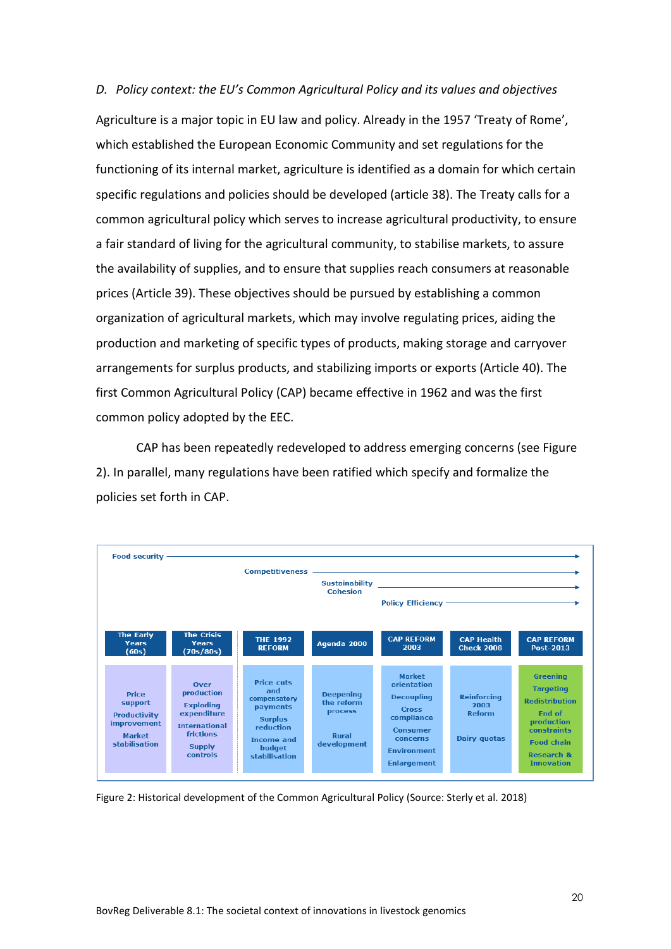*D. Policy context: the EU's Common Agricultural Policy and its values and objectives* Agriculture is a major topic in EU law and policy. Already in the 1957 'Treaty of Rome', which established the European Economic Community and set regulations for the functioning of its internal market, agriculture is identified as a domain for which certain specific regulations and policies should be developed (article 38). The Treaty calls for a common agricultural policy which serves to increase agricultural productivity, to ensure a fair standard of living for the agricultural community, to stabilise markets, to assure the availability of supplies, and to ensure that supplies reach consumers at reasonable prices (Article 39). These objectives should be pursued by establishing a common organization of agricultural markets, which may involve regulating prices, aiding the production and marketing of specific types of products, making storage and carryover arrangements for surplus products, and stabilizing imports or exports (Article 40). The first Common Agricultural Policy (CAP) became effective in 1962 and was the first common policy adopted by the EEC.

CAP has been repeatedly redeveloped to address emerging concerns (see Figure 2). In parallel, many regulations have been ratified which specify and formalize the policies set forth in CAP.



Figure 2: Historical development of the Common Agricultural Policy (Source: Sterly et al. 2018)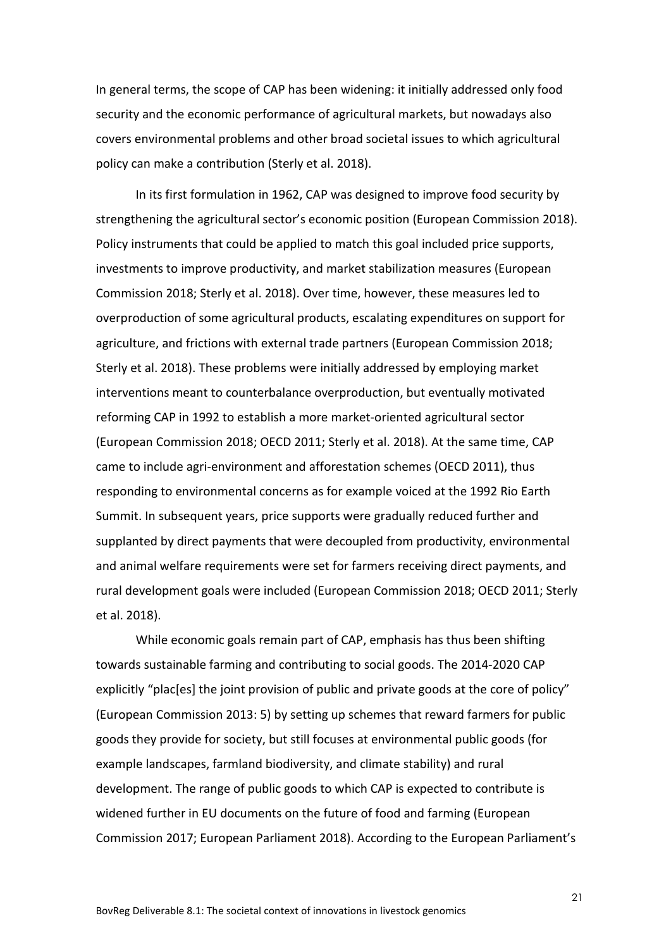In general terms, the scope of CAP has been widening: it initially addressed only food security and the economic performance of agricultural markets, but nowadays also covers environmental problems and other broad societal issues to which agricultural policy can make a contribution (Sterly et al. 2018).

In its first formulation in 1962, CAP was designed to improve food security by strengthening the agricultural sector's economic position (European Commission 2018). Policy instruments that could be applied to match this goal included price supports, investments to improve productivity, and market stabilization measures (European Commission 2018; Sterly et al. 2018). Over time, however, these measures led to overproduction of some agricultural products, escalating expenditures on support for agriculture, and frictions with external trade partners (European Commission 2018; Sterly et al. 2018). These problems were initially addressed by employing market interventions meant to counterbalance overproduction, but eventually motivated reforming CAP in 1992 to establish a more market-oriented agricultural sector (European Commission 2018; OECD 2011; Sterly et al. 2018). At the same time, CAP came to include agri-environment and afforestation schemes (OECD 2011), thus responding to environmental concerns as for example voiced at the 1992 Rio Earth Summit. In subsequent years, price supports were gradually reduced further and supplanted by direct payments that were decoupled from productivity, environmental and animal welfare requirements were set for farmers receiving direct payments, and rural development goals were included (European Commission 2018; OECD 2011; Sterly et al. 2018).

While economic goals remain part of CAP, emphasis has thus been shifting towards sustainable farming and contributing to social goods. The 2014-2020 CAP explicitly "plac[es] the joint provision of public and private goods at the core of policy" (European Commission 2013: 5) by setting up schemes that reward farmers for public goods they provide for society, but still focuses at environmental public goods (for example landscapes, farmland biodiversity, and climate stability) and rural development. The range of public goods to which CAP is expected to contribute is widened further in EU documents on the future of food and farming (European Commission 2017; European Parliament 2018). According to the European Parliament's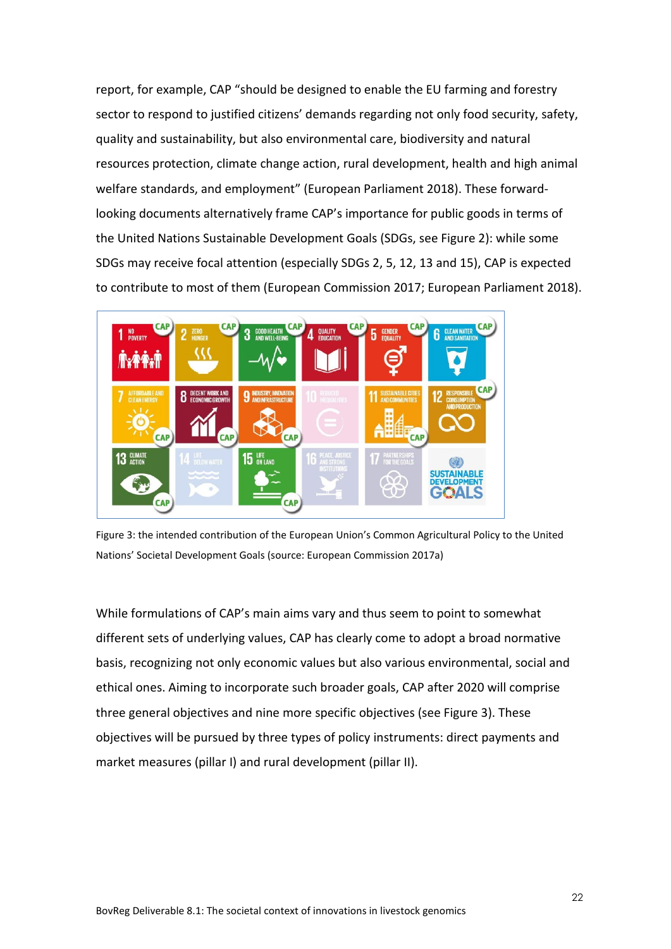report, for example, CAP "should be designed to enable the EU farming and forestry sector to respond to justified citizens' demands regarding not only food security, safety, quality and sustainability, but also environmental care, biodiversity and natural resources protection, climate change action, rural development, health and high animal welfare standards, and employment" (European Parliament 2018). These forwardlooking documents alternatively frame CAP's importance for public goods in terms of the United Nations Sustainable Development Goals (SDGs, see Figure 2): while some SDGs may receive focal attention (especially SDGs 2, 5, 12, 13 and 15), CAP is expected to contribute to most of them (European Commission 2017; European Parliament 2018).



Figure 3: the intended contribution of the European Union's Common Agricultural Policy to the United Nations' Societal Development Goals (source: European Commission 2017a)

While formulations of CAP's main aims vary and thus seem to point to somewhat different sets of underlying values, CAP has clearly come to adopt a broad normative basis, recognizing not only economic values but also various environmental, social and ethical ones. Aiming to incorporate such broader goals, CAP after 2020 will comprise three general objectives and nine more specific objectives (see Figure 3). These objectives will be pursued by three types of policy instruments: direct payments and market measures (pillar I) and rural development (pillar II).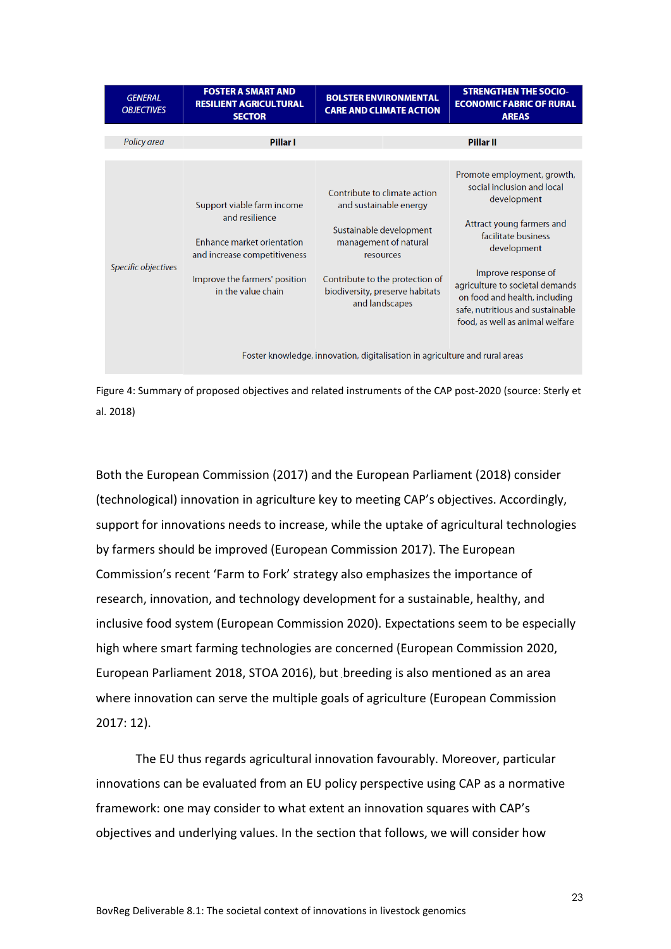| <b>GENERAL</b><br><b>OBJECTIVES</b> | <b>FOSTER A SMART AND</b><br><b>RESILIENT AGRICULTURAL</b><br><b>SECTOR</b>                                                                                       | <b>BOLSTER ENVIRONMENTAL</b><br><b>CARE AND CLIMATE ACTION</b>                                                                                                                                                                                                                                 | <b>STRENGTHEN THE SOCIO-</b><br><b>ECONOMIC FABRIC OF RURAL</b><br><b>AREAS</b>                                                                                                                                                                                                                               |
|-------------------------------------|-------------------------------------------------------------------------------------------------------------------------------------------------------------------|------------------------------------------------------------------------------------------------------------------------------------------------------------------------------------------------------------------------------------------------------------------------------------------------|---------------------------------------------------------------------------------------------------------------------------------------------------------------------------------------------------------------------------------------------------------------------------------------------------------------|
| Policy area                         | <b>Pillar I</b>                                                                                                                                                   |                                                                                                                                                                                                                                                                                                | <b>Pillar II</b>                                                                                                                                                                                                                                                                                              |
| Specific objectives                 | Support viable farm income<br>and resilience<br>Enhance market orientation<br>and increase competitiveness<br>Improve the farmers' position<br>in the value chain | Contribute to climate action<br>and sustainable energy<br>Sustainable development<br>management of natural<br>resources<br>Contribute to the protection of<br>biodiversity, preserve habitats<br>and landscapes<br>Foster knowledge, innovation, digitalisation in agriculture and rural areas | Promote employment, growth,<br>social inclusion and local<br>development<br>Attract young farmers and<br>facilitate business<br>development<br>Improve response of<br>agriculture to societal demands<br>on food and health, including<br>safe, nutritious and sustainable<br>food, as well as animal welfare |

Figure 4: Summary of proposed objectives and related instruments of the CAP post-2020 (source: Sterly et al. 2018)

Both the European Commission (2017) and the European Parliament (2018) consider (technological) innovation in agriculture key to meeting CAP's objectives. Accordingly, support for innovations needs to increase, while the uptake of agricultural technologies by farmers should be improved (European Commission 2017). The European Commission's recent 'Farm to Fork' strategy also emphasizes the importance of research, innovation, and technology development for a sustainable, healthy, and inclusive food system (European Commission 2020). Expectations seem to be especially high where smart farming technologies are concerned (European Commission 2020, European Parliament 2018, STOA 2016), but breeding is also mentioned as an area where innovation can serve the multiple goals of agriculture (European Commission 2017: 12).

The EU thus regards agricultural innovation favourably. Moreover, particular innovations can be evaluated from an EU policy perspective using CAP as a normative framework: one may consider to what extent an innovation squares with CAP's objectives and underlying values. In the section that follows, we will consider how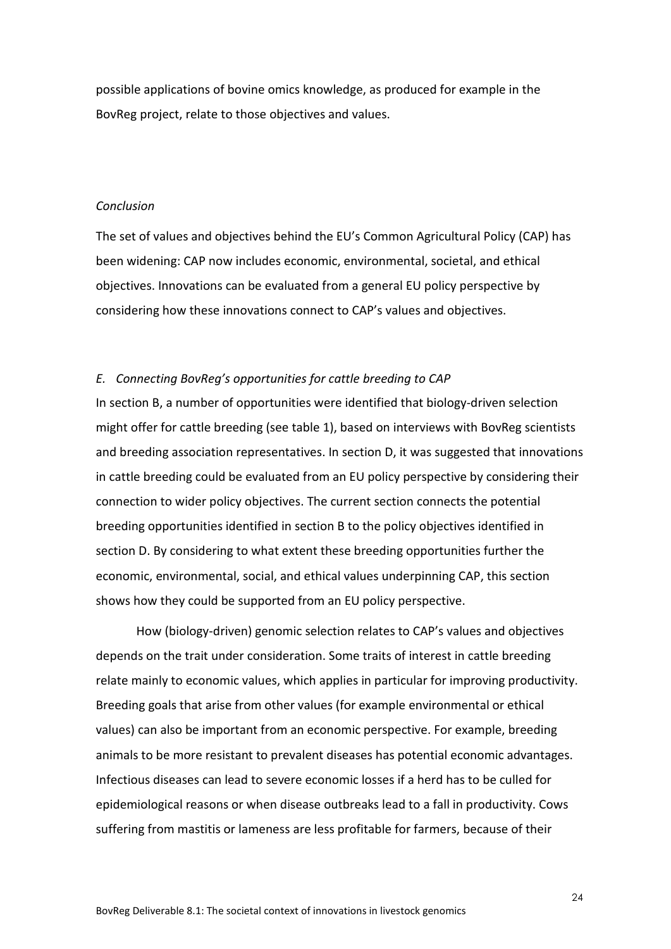possible applications of bovine omics knowledge, as produced for example in the BovReg project, relate to those objectives and values.

#### *Conclusion*

The set of values and objectives behind the EU's Common Agricultural Policy (CAP) has been widening: CAP now includes economic, environmental, societal, and ethical objectives. Innovations can be evaluated from a general EU policy perspective by considering how these innovations connect to CAP's values and objectives.

#### *E. Connecting BovReg's opportunities for cattle breeding to CAP*

In section B, a number of opportunities were identified that biology-driven selection might offer for cattle breeding (see table 1), based on interviews with BovReg scientists and breeding association representatives. In section D, it was suggested that innovations in cattle breeding could be evaluated from an EU policy perspective by considering their connection to wider policy objectives. The current section connects the potential breeding opportunities identified in section B to the policy objectives identified in section D. By considering to what extent these breeding opportunities further the economic, environmental, social, and ethical values underpinning CAP, this section shows how they could be supported from an EU policy perspective.

How (biology-driven) genomic selection relates to CAP's values and objectives depends on the trait under consideration. Some traits of interest in cattle breeding relate mainly to economic values, which applies in particular for improving productivity. Breeding goals that arise from other values (for example environmental or ethical values) can also be important from an economic perspective. For example, breeding animals to be more resistant to prevalent diseases has potential economic advantages. Infectious diseases can lead to severe economic losses if a herd has to be culled for epidemiological reasons or when disease outbreaks lead to a fall in productivity. Cows suffering from mastitis or lameness are less profitable for farmers, because of their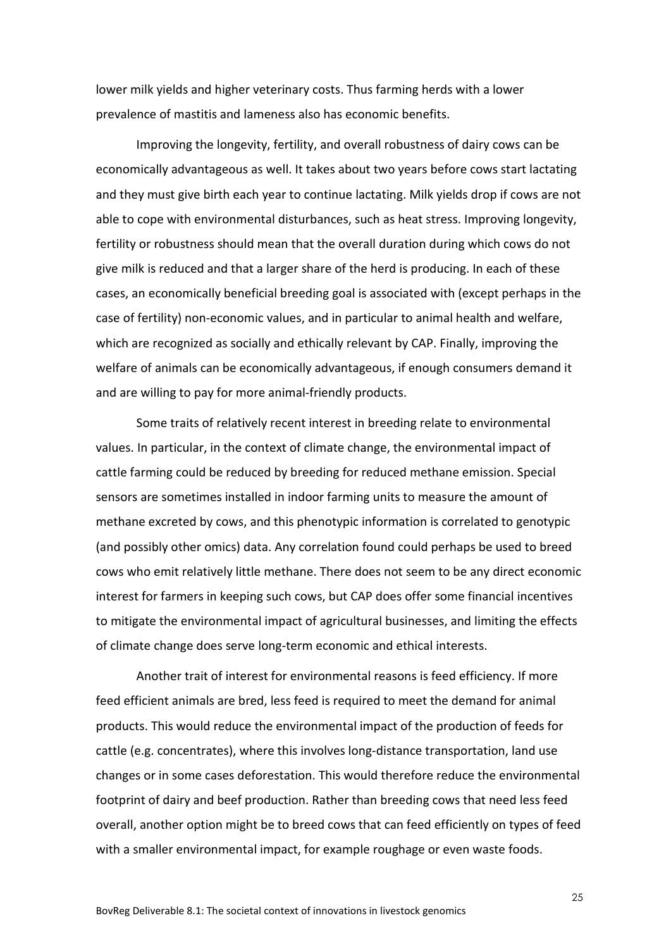lower milk yields and higher veterinary costs. Thus farming herds with a lower prevalence of mastitis and lameness also has economic benefits.

Improving the longevity, fertility, and overall robustness of dairy cows can be economically advantageous as well. It takes about two years before cows start lactating and they must give birth each year to continue lactating. Milk yields drop if cows are not able to cope with environmental disturbances, such as heat stress. Improving longevity, fertility or robustness should mean that the overall duration during which cows do not give milk is reduced and that a larger share of the herd is producing. In each of these cases, an economically beneficial breeding goal is associated with (except perhaps in the case of fertility) non-economic values, and in particular to animal health and welfare, which are recognized as socially and ethically relevant by CAP. Finally, improving the welfare of animals can be economically advantageous, if enough consumers demand it and are willing to pay for more animal-friendly products.

Some traits of relatively recent interest in breeding relate to environmental values. In particular, in the context of climate change, the environmental impact of cattle farming could be reduced by breeding for reduced methane emission. Special sensors are sometimes installed in indoor farming units to measure the amount of methane excreted by cows, and this phenotypic information is correlated to genotypic (and possibly other omics) data. Any correlation found could perhaps be used to breed cows who emit relatively little methane. There does not seem to be any direct economic interest for farmers in keeping such cows, but CAP does offer some financial incentives to mitigate the environmental impact of agricultural businesses, and limiting the effects of climate change does serve long-term economic and ethical interests.

Another trait of interest for environmental reasons is feed efficiency. If more feed efficient animals are bred, less feed is required to meet the demand for animal products. This would reduce the environmental impact of the production of feeds for cattle (e.g. concentrates), where this involves long-distance transportation, land use changes or in some cases deforestation. This would therefore reduce the environmental footprint of dairy and beef production. Rather than breeding cows that need less feed overall, another option might be to breed cows that can feed efficiently on types of feed with a smaller environmental impact, for example roughage or even waste foods.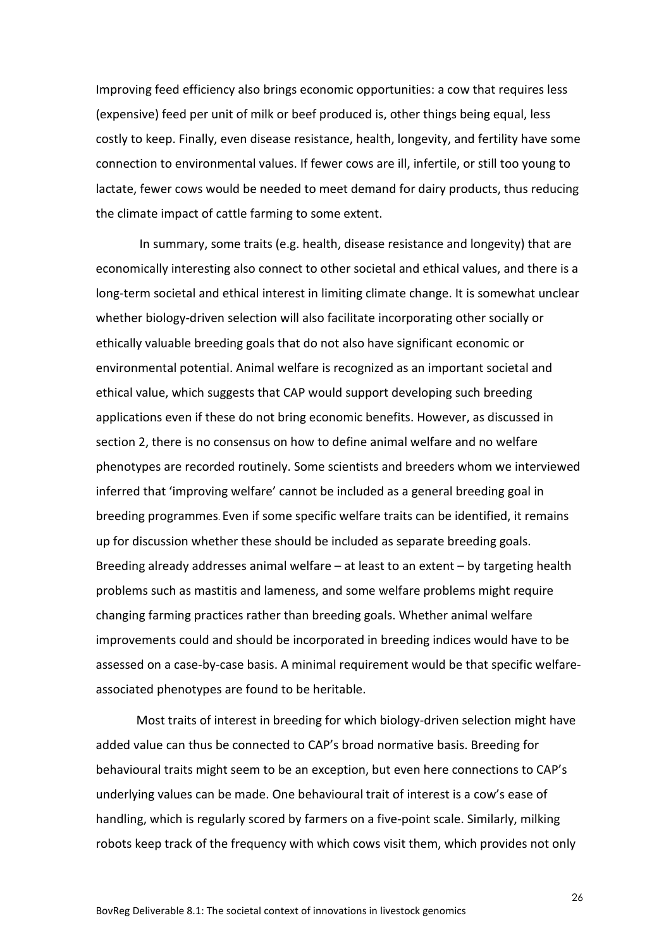Improving feed efficiency also brings economic opportunities: a cow that requires less (expensive) feed per unit of milk or beef produced is, other things being equal, less costly to keep. Finally, even disease resistance, health, longevity, and fertility have some connection to environmental values. If fewer cows are ill, infertile, or still too young to lactate, fewer cows would be needed to meet demand for dairy products, thus reducing the climate impact of cattle farming to some extent.

In summary, some traits (e.g. health, disease resistance and longevity) that are economically interesting also connect to other societal and ethical values, and there is a long-term societal and ethical interest in limiting climate change. It is somewhat unclear whether biology-driven selection will also facilitate incorporating other socially or ethically valuable breeding goals that do not also have significant economic or environmental potential. Animal welfare is recognized as an important societal and ethical value, which suggests that CAP would support developing such breeding applications even if these do not bring economic benefits. However, as discussed in section 2, there is no consensus on how to define animal welfare and no welfare phenotypes are recorded routinely. Some scientists and breeders whom we interviewed inferred that 'improving welfare' cannot be included as a general breeding goal in breeding programmes. Even if some specific welfare traits can be identified, it remains up for discussion whether these should be included as separate breeding goals. Breeding already addresses animal welfare – at least to an extent – by targeting health problems such as mastitis and lameness, and some welfare problems might require changing farming practices rather than breeding goals. Whether animal welfare improvements could and should be incorporated in breeding indices would have to be assessed on a case-by-case basis. A minimal requirement would be that specific welfareassociated phenotypes are found to be heritable.

Most traits of interest in breeding for which biology-driven selection might have added value can thus be connected to CAP's broad normative basis. Breeding for behavioural traits might seem to be an exception, but even here connections to CAP's underlying values can be made. One behavioural trait of interest is a cow's ease of handling, which is regularly scored by farmers on a five-point scale. Similarly, milking robots keep track of the frequency with which cows visit them, which provides not only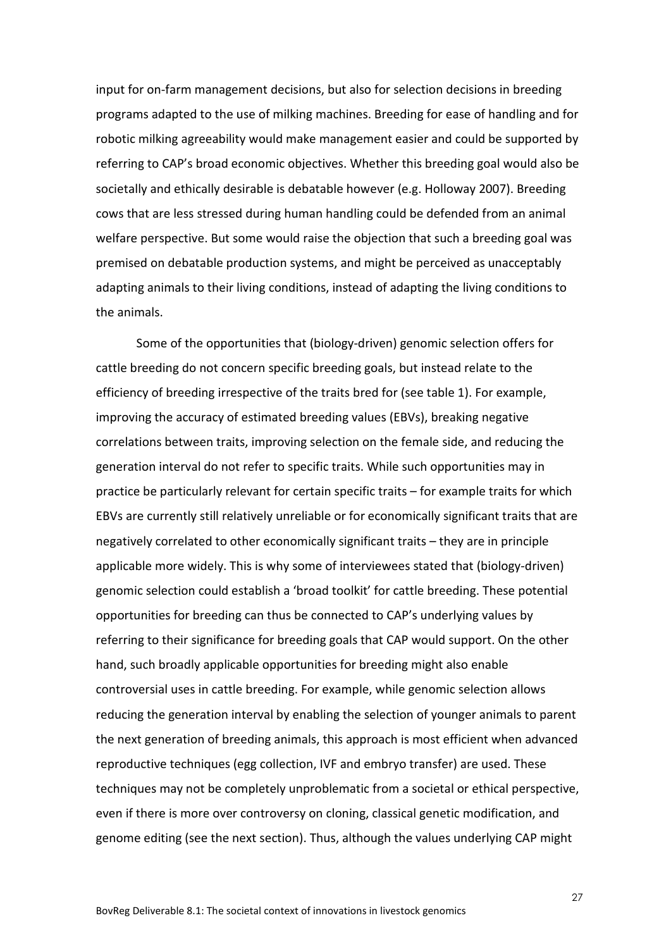input for on-farm management decisions, but also for selection decisions in breeding programs adapted to the use of milking machines. Breeding for ease of handling and for robotic milking agreeability would make management easier and could be supported by referring to CAP's broad economic objectives. Whether this breeding goal would also be societally and ethically desirable is debatable however (e.g. Holloway 2007). Breeding cows that are less stressed during human handling could be defended from an animal welfare perspective. But some would raise the objection that such a breeding goal was premised on debatable production systems, and might be perceived as unacceptably adapting animals to their living conditions, instead of adapting the living conditions to the animals.

Some of the opportunities that (biology-driven) genomic selection offers for cattle breeding do not concern specific breeding goals, but instead relate to the efficiency of breeding irrespective of the traits bred for (see table 1). For example, improving the accuracy of estimated breeding values (EBVs), breaking negative correlations between traits, improving selection on the female side, and reducing the generation interval do not refer to specific traits. While such opportunities may in practice be particularly relevant for certain specific traits – for example traits for which EBVs are currently still relatively unreliable or for economically significant traits that are negatively correlated to other economically significant traits – they are in principle applicable more widely. This is why some of interviewees stated that (biology-driven) genomic selection could establish a 'broad toolkit' for cattle breeding. These potential opportunities for breeding can thus be connected to CAP's underlying values by referring to their significance for breeding goals that CAP would support. On the other hand, such broadly applicable opportunities for breeding might also enable controversial uses in cattle breeding. For example, while genomic selection allows reducing the generation interval by enabling the selection of younger animals to parent the next generation of breeding animals, this approach is most efficient when advanced reproductive techniques (egg collection, IVF and embryo transfer) are used. These techniques may not be completely unproblematic from a societal or ethical perspective, even if there is more over controversy on cloning, classical genetic modification, and genome editing (see the next section). Thus, although the values underlying CAP might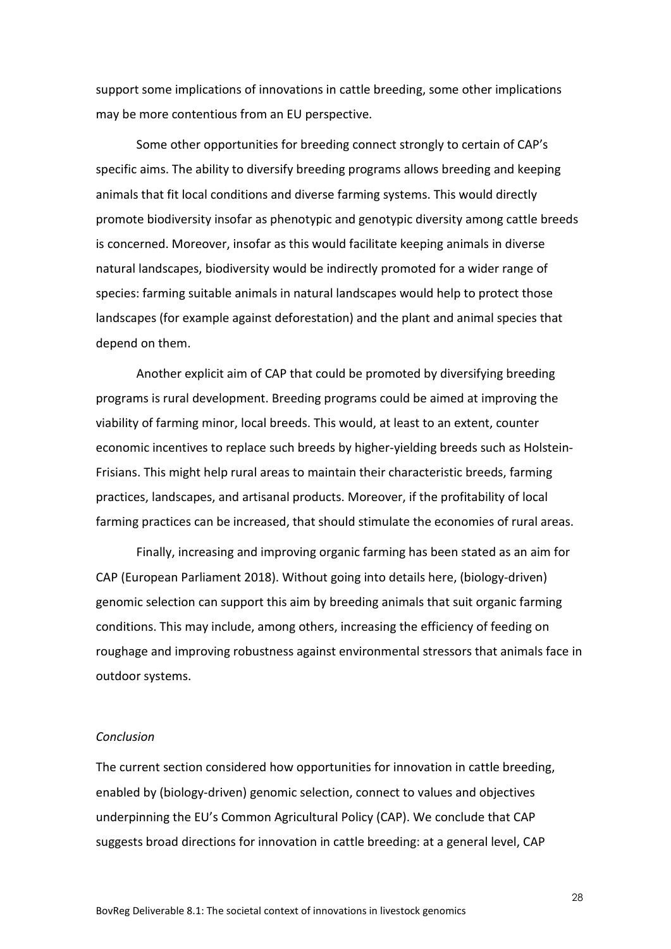support some implications of innovations in cattle breeding, some other implications may be more contentious from an EU perspective.

Some other opportunities for breeding connect strongly to certain of CAP's specific aims. The ability to diversify breeding programs allows breeding and keeping animals that fit local conditions and diverse farming systems. This would directly promote biodiversity insofar as phenotypic and genotypic diversity among cattle breeds is concerned. Moreover, insofar as this would facilitate keeping animals in diverse natural landscapes, biodiversity would be indirectly promoted for a wider range of species: farming suitable animals in natural landscapes would help to protect those landscapes (for example against deforestation) and the plant and animal species that depend on them.

Another explicit aim of CAP that could be promoted by diversifying breeding programs is rural development. Breeding programs could be aimed at improving the viability of farming minor, local breeds. This would, at least to an extent, counter economic incentives to replace such breeds by higher-yielding breeds such as Holstein-Frisians. This might help rural areas to maintain their characteristic breeds, farming practices, landscapes, and artisanal products. Moreover, if the profitability of local farming practices can be increased, that should stimulate the economies of rural areas.

Finally, increasing and improving organic farming has been stated as an aim for CAP (European Parliament 2018). Without going into details here, (biology-driven) genomic selection can support this aim by breeding animals that suit organic farming conditions. This may include, among others, increasing the efficiency of feeding on roughage and improving robustness against environmental stressors that animals face in outdoor systems.

#### *Conclusion*

The current section considered how opportunities for innovation in cattle breeding, enabled by (biology-driven) genomic selection, connect to values and objectives underpinning the EU's Common Agricultural Policy (CAP). We conclude that CAP suggests broad directions for innovation in cattle breeding: at a general level, CAP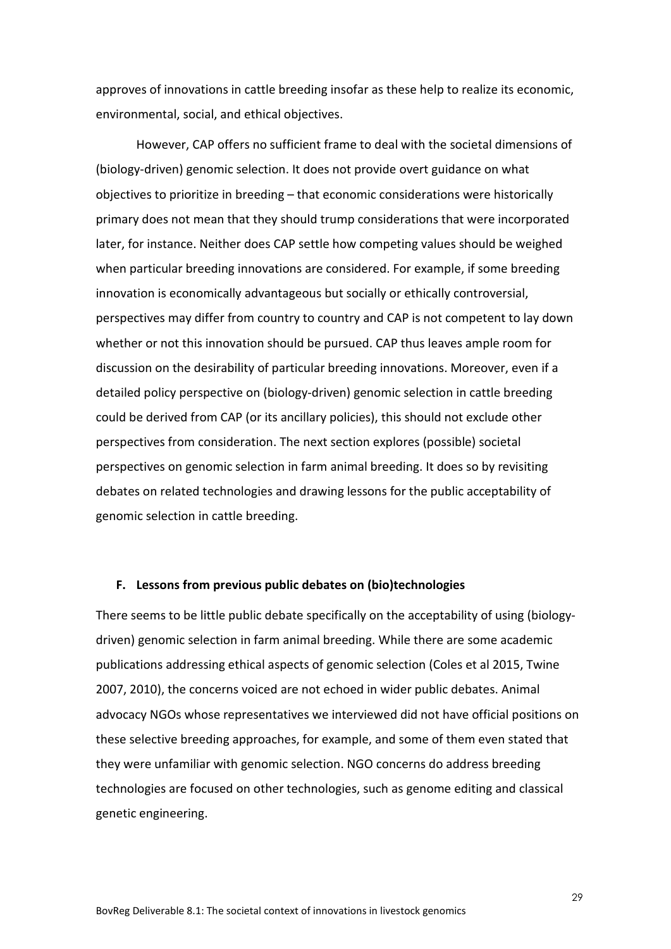approves of innovations in cattle breeding insofar as these help to realize its economic, environmental, social, and ethical objectives.

However, CAP offers no sufficient frame to deal with the societal dimensions of (biology-driven) genomic selection. It does not provide overt guidance on what objectives to prioritize in breeding – that economic considerations were historically primary does not mean that they should trump considerations that were incorporated later, for instance. Neither does CAP settle how competing values should be weighed when particular breeding innovations are considered. For example, if some breeding innovation is economically advantageous but socially or ethically controversial, perspectives may differ from country to country and CAP is not competent to lay down whether or not this innovation should be pursued. CAP thus leaves ample room for discussion on the desirability of particular breeding innovations. Moreover, even if a detailed policy perspective on (biology-driven) genomic selection in cattle breeding could be derived from CAP (or its ancillary policies), this should not exclude other perspectives from consideration. The next section explores (possible) societal perspectives on genomic selection in farm animal breeding. It does so by revisiting debates on related technologies and drawing lessons for the public acceptability of genomic selection in cattle breeding.

#### **F. Lessons from previous public debates on (bio)technologies**

There seems to be little public debate specifically on the acceptability of using (biologydriven) genomic selection in farm animal breeding. While there are some academic publications addressing ethical aspects of genomic selection (Coles et al 2015, Twine 2007, 2010), the concerns voiced are not echoed in wider public debates. Animal advocacy NGOs whose representatives we interviewed did not have official positions on these selective breeding approaches, for example, and some of them even stated that they were unfamiliar with genomic selection. NGO concerns do address breeding technologies are focused on other technologies, such as genome editing and classical genetic engineering.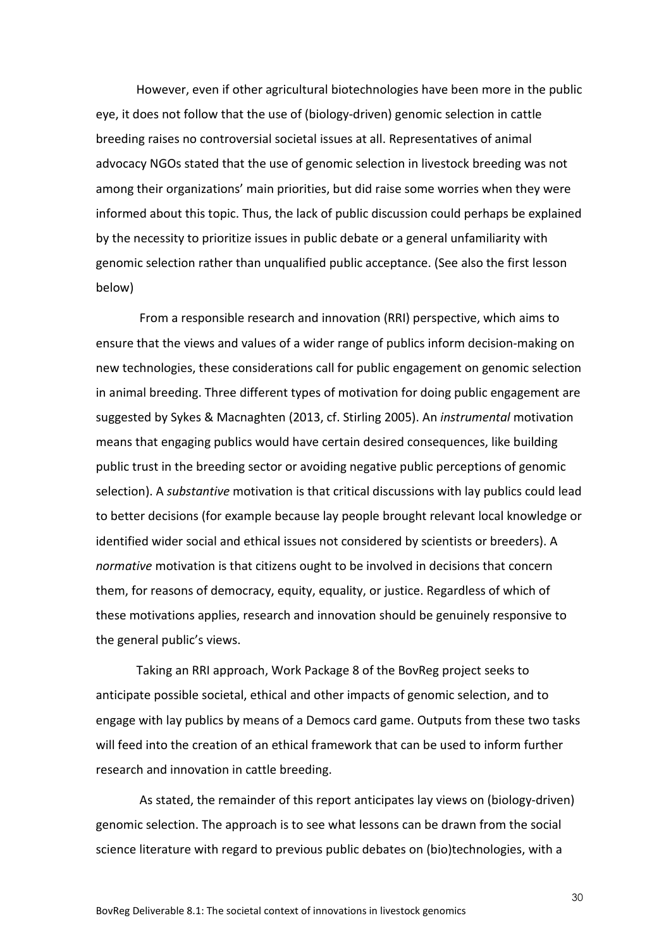However, even if other agricultural biotechnologies have been more in the public eye, it does not follow that the use of (biology-driven) genomic selection in cattle breeding raises no controversial societal issues at all. Representatives of animal advocacy NGOs stated that the use of genomic selection in livestock breeding was not among their organizations' main priorities, but did raise some worries when they were informed about this topic. Thus, the lack of public discussion could perhaps be explained by the necessity to prioritize issues in public debate or a general unfamiliarity with genomic selection rather than unqualified public acceptance. (See also the first lesson below)

From a responsible research and innovation (RRI) perspective, which aims to ensure that the views and values of a wider range of publics inform decision-making on new technologies, these considerations call for public engagement on genomic selection in animal breeding. Three different types of motivation for doing public engagement are suggested by Sykes & Macnaghten (2013, cf. Stirling 2005). An *instrumental* motivation means that engaging publics would have certain desired consequences, like building public trust in the breeding sector or avoiding negative public perceptions of genomic selection). A *substantive* motivation is that critical discussions with lay publics could lead to better decisions (for example because lay people brought relevant local knowledge or identified wider social and ethical issues not considered by scientists or breeders). A *normative* motivation is that citizens ought to be involved in decisions that concern them, for reasons of democracy, equity, equality, or justice. Regardless of which of these motivations applies, research and innovation should be genuinely responsive to the general public's views.

Taking an RRI approach, Work Package 8 of the BovReg project seeks to anticipate possible societal, ethical and other impacts of genomic selection, and to engage with lay publics by means of a Democs card game. Outputs from these two tasks will feed into the creation of an ethical framework that can be used to inform further research and innovation in cattle breeding.

As stated, the remainder of this report anticipates lay views on (biology-driven) genomic selection. The approach is to see what lessons can be drawn from the social science literature with regard to previous public debates on (bio)technologies, with a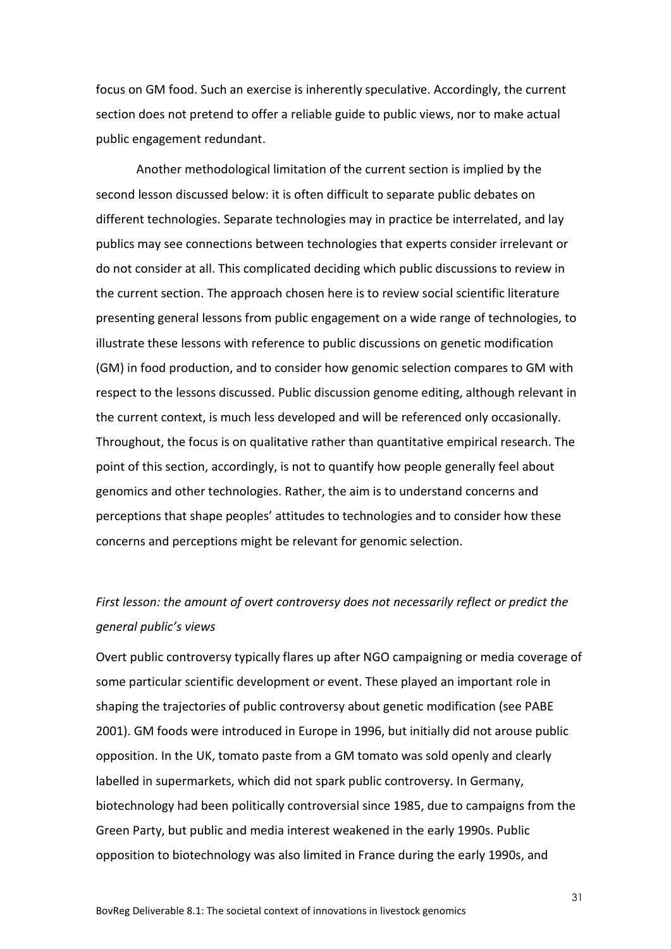focus on GM food. Such an exercise is inherently speculative. Accordingly, the current section does not pretend to offer a reliable guide to public views, nor to make actual public engagement redundant.

Another methodological limitation of the current section is implied by the second lesson discussed below: it is often difficult to separate public debates on different technologies. Separate technologies may in practice be interrelated, and lay publics may see connections between technologies that experts consider irrelevant or do not consider at all. This complicated deciding which public discussions to review in the current section. The approach chosen here is to review social scientific literature presenting general lessons from public engagement on a wide range of technologies, to illustrate these lessons with reference to public discussions on genetic modification (GM) in food production, and to consider how genomic selection compares to GM with respect to the lessons discussed. Public discussion genome editing, although relevant in the current context, is much less developed and will be referenced only occasionally. Throughout, the focus is on qualitative rather than quantitative empirical research. The point of this section, accordingly, is not to quantify how people generally feel about genomics and other technologies. Rather, the aim is to understand concerns and perceptions that shape peoples' attitudes to technologies and to consider how these concerns and perceptions might be relevant for genomic selection.

## *First lesson: the amount of overt controversy does not necessarily reflect or predict the general public's views*

Overt public controversy typically flares up after NGO campaigning or media coverage of some particular scientific development or event. These played an important role in shaping the trajectories of public controversy about genetic modification (see PABE 2001). GM foods were introduced in Europe in 1996, but initially did not arouse public opposition. In the UK, tomato paste from a GM tomato was sold openly and clearly labelled in supermarkets, which did not spark public controversy. In Germany, biotechnology had been politically controversial since 1985, due to campaigns from the Green Party, but public and media interest weakened in the early 1990s. Public opposition to biotechnology was also limited in France during the early 1990s, and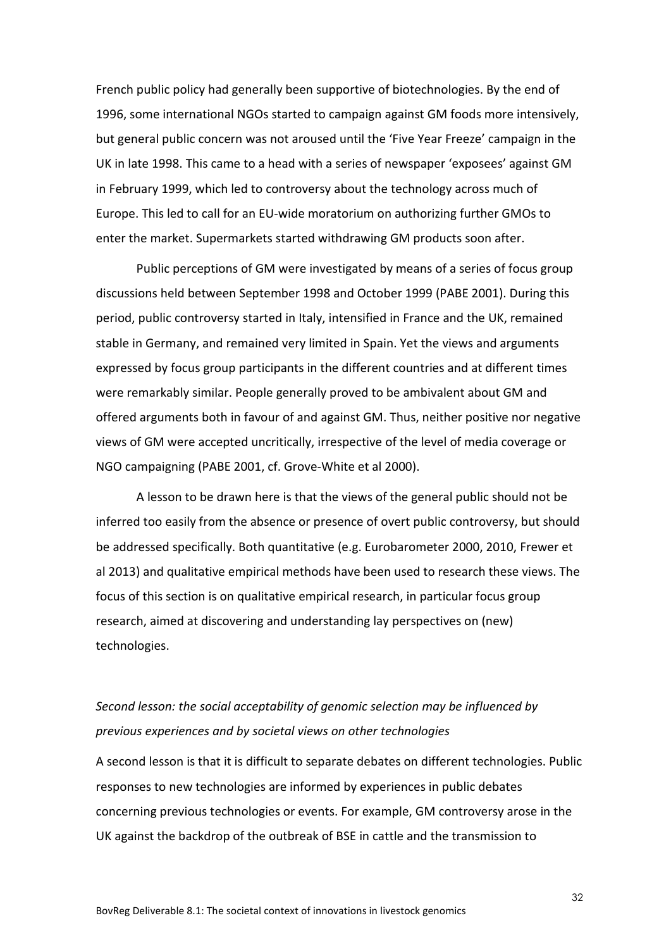French public policy had generally been supportive of biotechnologies. By the end of 1996, some international NGOs started to campaign against GM foods more intensively, but general public concern was not aroused until the 'Five Year Freeze' campaign in the UK in late 1998. This came to a head with a series of newspaper 'exposees' against GM in February 1999, which led to controversy about the technology across much of Europe. This led to call for an EU-wide moratorium on authorizing further GMOs to enter the market. Supermarkets started withdrawing GM products soon after.

Public perceptions of GM were investigated by means of a series of focus group discussions held between September 1998 and October 1999 (PABE 2001). During this period, public controversy started in Italy, intensified in France and the UK, remained stable in Germany, and remained very limited in Spain. Yet the views and arguments expressed by focus group participants in the different countries and at different times were remarkably similar. People generally proved to be ambivalent about GM and offered arguments both in favour of and against GM. Thus, neither positive nor negative views of GM were accepted uncritically, irrespective of the level of media coverage or NGO campaigning (PABE 2001, cf. Grove-White et al 2000).

A lesson to be drawn here is that the views of the general public should not be inferred too easily from the absence or presence of overt public controversy, but should be addressed specifically. Both quantitative (e.g. Eurobarometer 2000, 2010, Frewer et al 2013) and qualitative empirical methods have been used to research these views. The focus of this section is on qualitative empirical research, in particular focus group research, aimed at discovering and understanding lay perspectives on (new) technologies.

## *Second lesson: the social acceptability of genomic selection may be influenced by previous experiences and by societal views on other technologies*

A second lesson is that it is difficult to separate debates on different technologies. Public responses to new technologies are informed by experiences in public debates concerning previous technologies or events. For example, GM controversy arose in the UK against the backdrop of the outbreak of BSE in cattle and the transmission to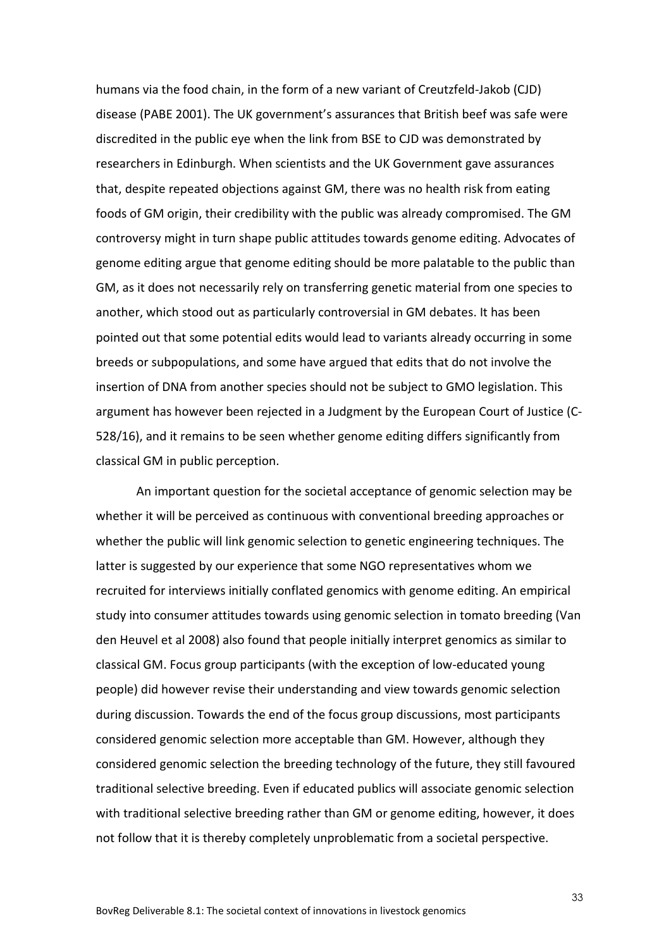humans via the food chain, in the form of a new variant of Creutzfeld-Jakob (CJD) disease (PABE 2001). The UK government's assurances that British beef was safe were discredited in the public eye when the link from BSE to CJD was demonstrated by researchers in Edinburgh. When scientists and the UK Government gave assurances that, despite repeated objections against GM, there was no health risk from eating foods of GM origin, their credibility with the public was already compromised. The GM controversy might in turn shape public attitudes towards genome editing. Advocates of genome editing argue that genome editing should be more palatable to the public than GM, as it does not necessarily rely on transferring genetic material from one species to another, which stood out as particularly controversial in GM debates. It has been pointed out that some potential edits would lead to variants already occurring in some breeds or subpopulations, and some have argued that edits that do not involve the insertion of DNA from another species should not be subject to GMO legislation. This argument has however been rejected in a Judgment by the European Court of Justice (C-528/16), and it remains to be seen whether genome editing differs significantly from classical GM in public perception.

An important question for the societal acceptance of genomic selection may be whether it will be perceived as continuous with conventional breeding approaches or whether the public will link genomic selection to genetic engineering techniques. The latter is suggested by our experience that some NGO representatives whom we recruited for interviews initially conflated genomics with genome editing. An empirical study into consumer attitudes towards using genomic selection in tomato breeding (Van den Heuvel et al 2008) also found that people initially interpret genomics as similar to classical GM. Focus group participants (with the exception of low-educated young people) did however revise their understanding and view towards genomic selection during discussion. Towards the end of the focus group discussions, most participants considered genomic selection more acceptable than GM. However, although they considered genomic selection the breeding technology of the future, they still favoured traditional selective breeding. Even if educated publics will associate genomic selection with traditional selective breeding rather than GM or genome editing, however, it does not follow that it is thereby completely unproblematic from a societal perspective.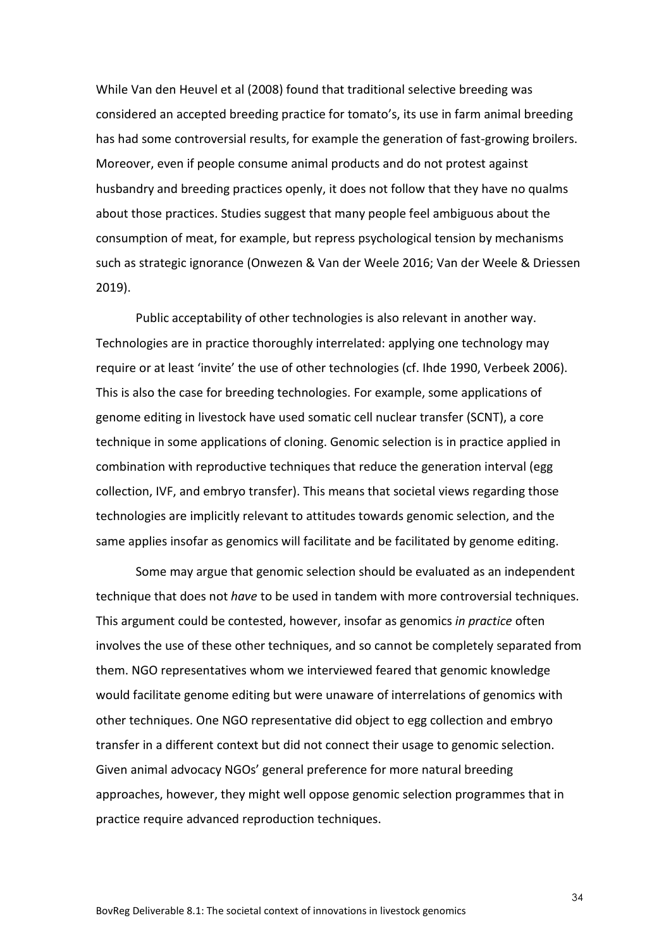While Van den Heuvel et al (2008) found that traditional selective breeding was considered an accepted breeding practice for tomato's, its use in farm animal breeding has had some controversial results, for example the generation of fast-growing broilers. Moreover, even if people consume animal products and do not protest against husbandry and breeding practices openly, it does not follow that they have no qualms about those practices. Studies suggest that many people feel ambiguous about the consumption of meat, for example, but repress psychological tension by mechanisms such as strategic ignorance (Onwezen & Van der Weele 2016; Van der Weele & Driessen 2019).

Public acceptability of other technologies is also relevant in another way. Technologies are in practice thoroughly interrelated: applying one technology may require or at least 'invite' the use of other technologies (cf. Ihde 1990, Verbeek 2006). This is also the case for breeding technologies. For example, some applications of genome editing in livestock have used somatic cell nuclear transfer (SCNT), a core technique in some applications of cloning. Genomic selection is in practice applied in combination with reproductive techniques that reduce the generation interval (egg collection, IVF, and embryo transfer). This means that societal views regarding those technologies are implicitly relevant to attitudes towards genomic selection, and the same applies insofar as genomics will facilitate and be facilitated by genome editing.

Some may argue that genomic selection should be evaluated as an independent technique that does not *have* to be used in tandem with more controversial techniques. This argument could be contested, however, insofar as genomics *in practice* often involves the use of these other techniques, and so cannot be completely separated from them. NGO representatives whom we interviewed feared that genomic knowledge would facilitate genome editing but were unaware of interrelations of genomics with other techniques. One NGO representative did object to egg collection and embryo transfer in a different context but did not connect their usage to genomic selection. Given animal advocacy NGOs' general preference for more natural breeding approaches, however, they might well oppose genomic selection programmes that in practice require advanced reproduction techniques.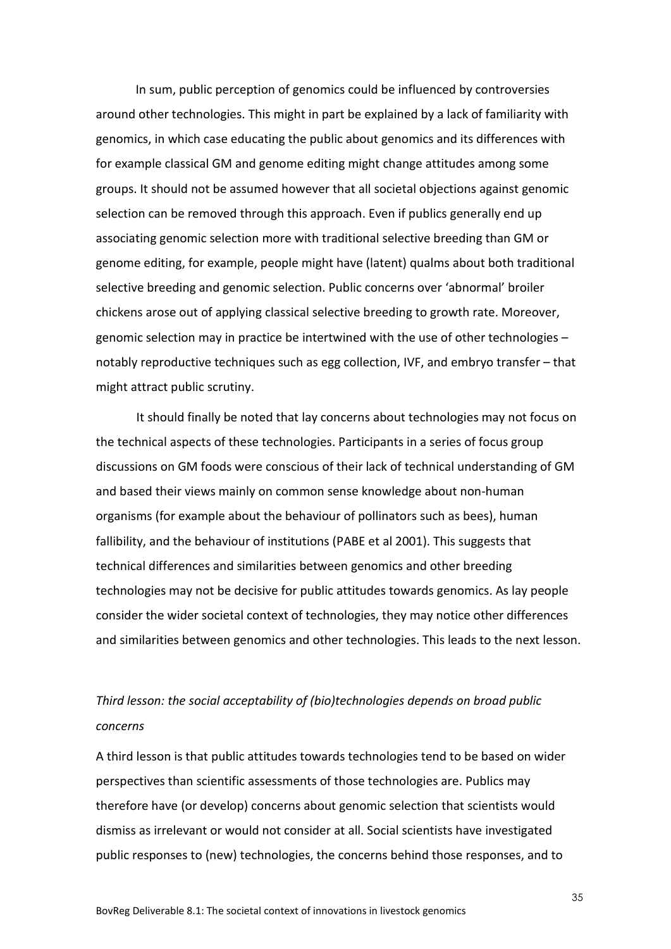In sum, public perception of genomics could be influenced by controversies around other technologies. This might in part be explained by a lack of familiarity with genomics, in which case educating the public about genomics and its differences with for example classical GM and genome editing might change attitudes among some groups. It should not be assumed however that all societal objections against genomic selection can be removed through this approach. Even if publics generally end up associating genomic selection more with traditional selective breeding than GM or genome editing, for example, people might have (latent) qualms about both traditional selective breeding and genomic selection. Public concerns over 'abnormal' broiler chickens arose out of applying classical selective breeding to growth rate. Moreover, genomic selection may in practice be intertwined with the use of other technologies – notably reproductive techniques such as egg collection, IVF, and embryo transfer – that might attract public scrutiny.

It should finally be noted that lay concerns about technologies may not focus on the technical aspects of these technologies. Participants in a series of focus group discussions on GM foods were conscious of their lack of technical understanding of GM and based their views mainly on common sense knowledge about non-human organisms (for example about the behaviour of pollinators such as bees), human fallibility, and the behaviour of institutions (PABE et al 2001). This suggests that technical differences and similarities between genomics and other breeding technologies may not be decisive for public attitudes towards genomics. As lay people consider the wider societal context of technologies, they may notice other differences and similarities between genomics and other technologies. This leads to the next lesson.

## *Third lesson: the social acceptability of (bio)technologies depends on broad public concerns*

A third lesson is that public attitudes towards technologies tend to be based on wider perspectives than scientific assessments of those technologies are. Publics may therefore have (or develop) concerns about genomic selection that scientists would dismiss as irrelevant or would not consider at all. Social scientists have investigated public responses to (new) technologies, the concerns behind those responses, and to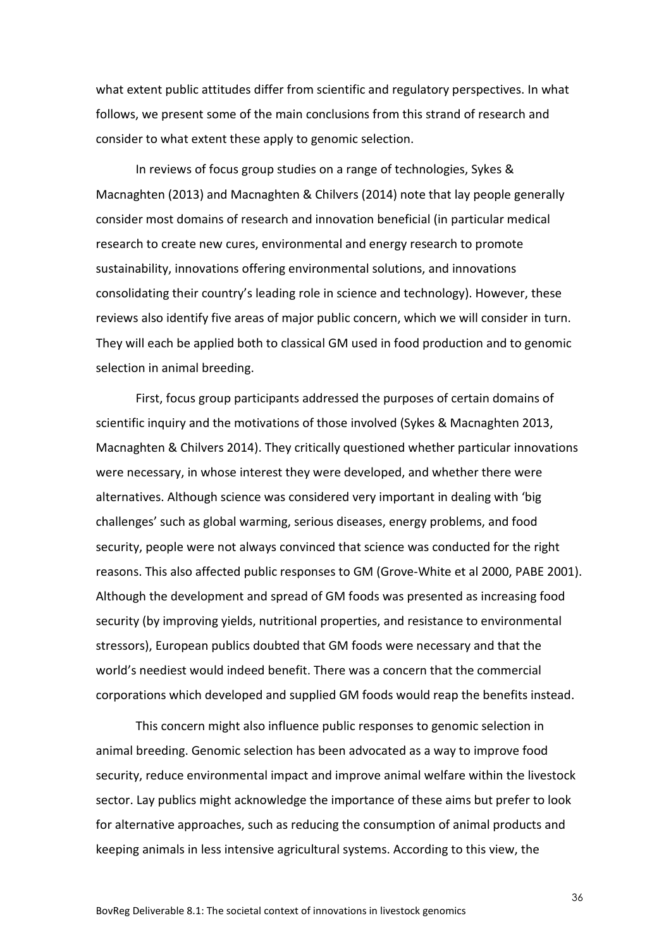what extent public attitudes differ from scientific and regulatory perspectives. In what follows, we present some of the main conclusions from this strand of research and consider to what extent these apply to genomic selection.

In reviews of focus group studies on a range of technologies, Sykes & Macnaghten (2013) and Macnaghten & Chilvers (2014) note that lay people generally consider most domains of research and innovation beneficial (in particular medical research to create new cures, environmental and energy research to promote sustainability, innovations offering environmental solutions, and innovations consolidating their country's leading role in science and technology). However, these reviews also identify five areas of major public concern, which we will consider in turn. They will each be applied both to classical GM used in food production and to genomic selection in animal breeding.

First, focus group participants addressed the purposes of certain domains of scientific inquiry and the motivations of those involved (Sykes & Macnaghten 2013, Macnaghten & Chilvers 2014). They critically questioned whether particular innovations were necessary, in whose interest they were developed, and whether there were alternatives. Although science was considered very important in dealing with 'big challenges' such as global warming, serious diseases, energy problems, and food security, people were not always convinced that science was conducted for the right reasons. This also affected public responses to GM (Grove-White et al 2000, PABE 2001). Although the development and spread of GM foods was presented as increasing food security (by improving yields, nutritional properties, and resistance to environmental stressors), European publics doubted that GM foods were necessary and that the world's neediest would indeed benefit. There was a concern that the commercial corporations which developed and supplied GM foods would reap the benefits instead.

This concern might also influence public responses to genomic selection in animal breeding. Genomic selection has been advocated as a way to improve food security, reduce environmental impact and improve animal welfare within the livestock sector. Lay publics might acknowledge the importance of these aims but prefer to look for alternative approaches, such as reducing the consumption of animal products and keeping animals in less intensive agricultural systems. According to this view, the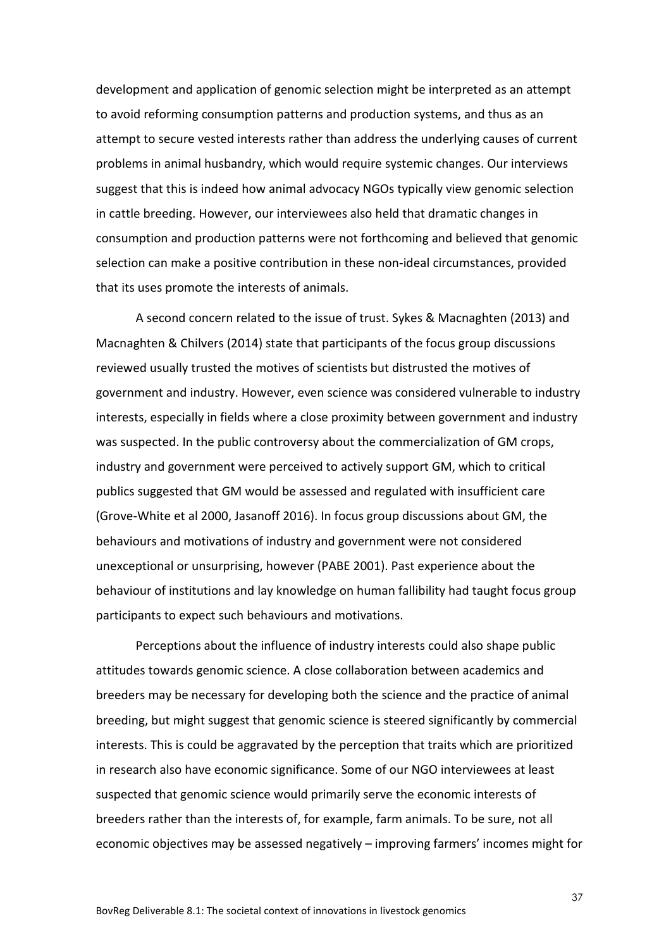development and application of genomic selection might be interpreted as an attempt to avoid reforming consumption patterns and production systems, and thus as an attempt to secure vested interests rather than address the underlying causes of current problems in animal husbandry, which would require systemic changes. Our interviews suggest that this is indeed how animal advocacy NGOs typically view genomic selection in cattle breeding. However, our interviewees also held that dramatic changes in consumption and production patterns were not forthcoming and believed that genomic selection can make a positive contribution in these non-ideal circumstances, provided that its uses promote the interests of animals.

A second concern related to the issue of trust. Sykes & Macnaghten (2013) and Macnaghten & Chilvers (2014) state that participants of the focus group discussions reviewed usually trusted the motives of scientists but distrusted the motives of government and industry. However, even science was considered vulnerable to industry interests, especially in fields where a close proximity between government and industry was suspected. In the public controversy about the commercialization of GM crops, industry and government were perceived to actively support GM, which to critical publics suggested that GM would be assessed and regulated with insufficient care (Grove-White et al 2000, Jasanoff 2016). In focus group discussions about GM, the behaviours and motivations of industry and government were not considered unexceptional or unsurprising, however (PABE 2001). Past experience about the behaviour of institutions and lay knowledge on human fallibility had taught focus group participants to expect such behaviours and motivations.

Perceptions about the influence of industry interests could also shape public attitudes towards genomic science. A close collaboration between academics and breeders may be necessary for developing both the science and the practice of animal breeding, but might suggest that genomic science is steered significantly by commercial interests. This is could be aggravated by the perception that traits which are prioritized in research also have economic significance. Some of our NGO interviewees at least suspected that genomic science would primarily serve the economic interests of breeders rather than the interests of, for example, farm animals. To be sure, not all economic objectives may be assessed negatively – improving farmers' incomes might for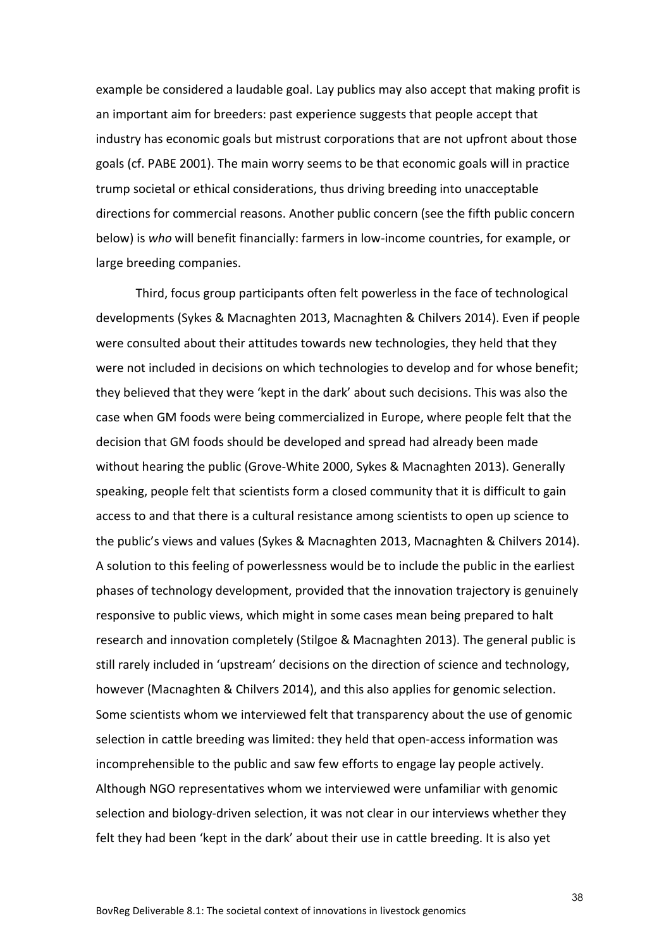example be considered a laudable goal. Lay publics may also accept that making profit is an important aim for breeders: past experience suggests that people accept that industry has economic goals but mistrust corporations that are not upfront about those goals (cf. PABE 2001). The main worry seems to be that economic goals will in practice trump societal or ethical considerations, thus driving breeding into unacceptable directions for commercial reasons. Another public concern (see the fifth public concern below) is *who* will benefit financially: farmers in low-income countries, for example, or large breeding companies.

Third, focus group participants often felt powerless in the face of technological developments (Sykes & Macnaghten 2013, Macnaghten & Chilvers 2014). Even if people were consulted about their attitudes towards new technologies, they held that they were not included in decisions on which technologies to develop and for whose benefit; they believed that they were 'kept in the dark' about such decisions. This was also the case when GM foods were being commercialized in Europe, where people felt that the decision that GM foods should be developed and spread had already been made without hearing the public (Grove-White 2000, Sykes & Macnaghten 2013). Generally speaking, people felt that scientists form a closed community that it is difficult to gain access to and that there is a cultural resistance among scientists to open up science to the public's views and values (Sykes & Macnaghten 2013, Macnaghten & Chilvers 2014). A solution to this feeling of powerlessness would be to include the public in the earliest phases of technology development, provided that the innovation trajectory is genuinely responsive to public views, which might in some cases mean being prepared to halt research and innovation completely (Stilgoe & Macnaghten 2013). The general public is still rarely included in 'upstream' decisions on the direction of science and technology, however (Macnaghten & Chilvers 2014), and this also applies for genomic selection. Some scientists whom we interviewed felt that transparency about the use of genomic selection in cattle breeding was limited: they held that open-access information was incomprehensible to the public and saw few efforts to engage lay people actively. Although NGO representatives whom we interviewed were unfamiliar with genomic selection and biology-driven selection, it was not clear in our interviews whether they felt they had been 'kept in the dark' about their use in cattle breeding. It is also yet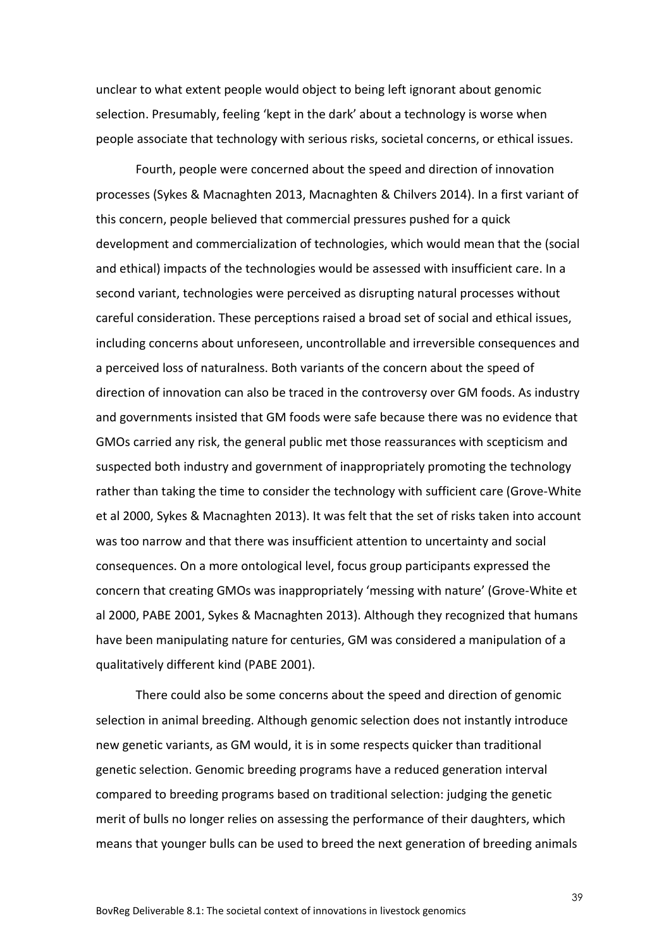unclear to what extent people would object to being left ignorant about genomic selection. Presumably, feeling 'kept in the dark' about a technology is worse when people associate that technology with serious risks, societal concerns, or ethical issues.

Fourth, people were concerned about the speed and direction of innovation processes (Sykes & Macnaghten 2013, Macnaghten & Chilvers 2014). In a first variant of this concern, people believed that commercial pressures pushed for a quick development and commercialization of technologies, which would mean that the (social and ethical) impacts of the technologies would be assessed with insufficient care. In a second variant, technologies were perceived as disrupting natural processes without careful consideration. These perceptions raised a broad set of social and ethical issues, including concerns about unforeseen, uncontrollable and irreversible consequences and a perceived loss of naturalness. Both variants of the concern about the speed of direction of innovation can also be traced in the controversy over GM foods. As industry and governments insisted that GM foods were safe because there was no evidence that GMOs carried any risk, the general public met those reassurances with scepticism and suspected both industry and government of inappropriately promoting the technology rather than taking the time to consider the technology with sufficient care (Grove-White et al 2000, Sykes & Macnaghten 2013). It was felt that the set of risks taken into account was too narrow and that there was insufficient attention to uncertainty and social consequences. On a more ontological level, focus group participants expressed the concern that creating GMOs was inappropriately 'messing with nature' (Grove-White et al 2000, PABE 2001, Sykes & Macnaghten 2013). Although they recognized that humans have been manipulating nature for centuries, GM was considered a manipulation of a qualitatively different kind (PABE 2001).

There could also be some concerns about the speed and direction of genomic selection in animal breeding. Although genomic selection does not instantly introduce new genetic variants, as GM would, it is in some respects quicker than traditional genetic selection. Genomic breeding programs have a reduced generation interval compared to breeding programs based on traditional selection: judging the genetic merit of bulls no longer relies on assessing the performance of their daughters, which means that younger bulls can be used to breed the next generation of breeding animals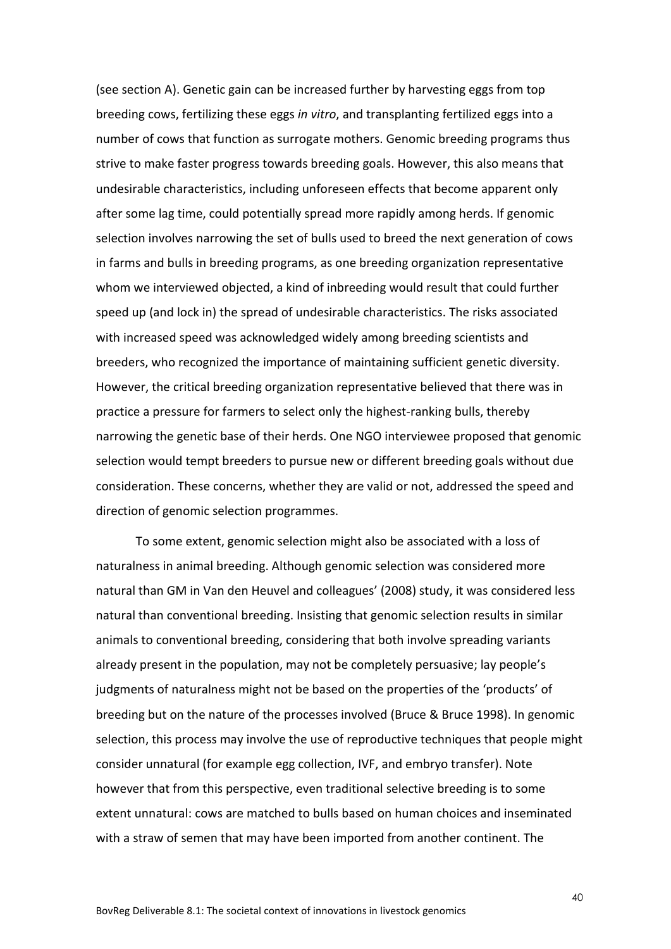(see section A). Genetic gain can be increased further by harvesting eggs from top breeding cows, fertilizing these eggs *in vitro*, and transplanting fertilized eggs into a number of cows that function as surrogate mothers. Genomic breeding programs thus strive to make faster progress towards breeding goals. However, this also means that undesirable characteristics, including unforeseen effects that become apparent only after some lag time, could potentially spread more rapidly among herds. If genomic selection involves narrowing the set of bulls used to breed the next generation of cows in farms and bulls in breeding programs, as one breeding organization representative whom we interviewed objected, a kind of inbreeding would result that could further speed up (and lock in) the spread of undesirable characteristics. The risks associated with increased speed was acknowledged widely among breeding scientists and breeders, who recognized the importance of maintaining sufficient genetic diversity. However, the critical breeding organization representative believed that there was in practice a pressure for farmers to select only the highest-ranking bulls, thereby narrowing the genetic base of their herds. One NGO interviewee proposed that genomic selection would tempt breeders to pursue new or different breeding goals without due consideration. These concerns, whether they are valid or not, addressed the speed and direction of genomic selection programmes.

To some extent, genomic selection might also be associated with a loss of naturalness in animal breeding. Although genomic selection was considered more natural than GM in Van den Heuvel and colleagues' (2008) study, it was considered less natural than conventional breeding. Insisting that genomic selection results in similar animals to conventional breeding, considering that both involve spreading variants already present in the population, may not be completely persuasive; lay people's judgments of naturalness might not be based on the properties of the 'products' of breeding but on the nature of the processes involved (Bruce & Bruce 1998). In genomic selection, this process may involve the use of reproductive techniques that people might consider unnatural (for example egg collection, IVF, and embryo transfer). Note however that from this perspective, even traditional selective breeding is to some extent unnatural: cows are matched to bulls based on human choices and inseminated with a straw of semen that may have been imported from another continent. The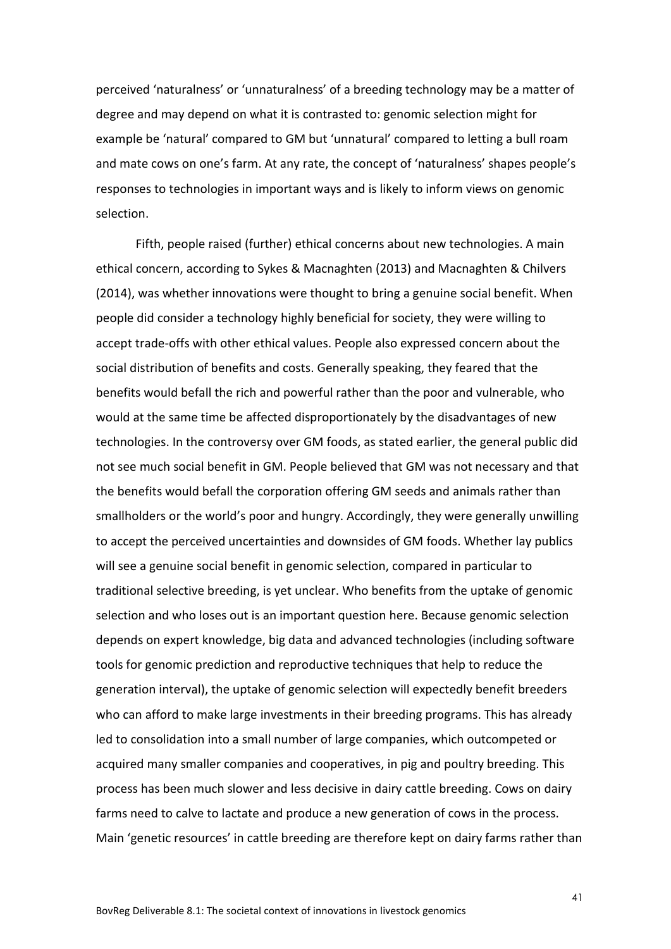perceived 'naturalness' or 'unnaturalness' of a breeding technology may be a matter of degree and may depend on what it is contrasted to: genomic selection might for example be 'natural' compared to GM but 'unnatural' compared to letting a bull roam and mate cows on one's farm. At any rate, the concept of 'naturalness' shapes people's responses to technologies in important ways and is likely to inform views on genomic selection.

Fifth, people raised (further) ethical concerns about new technologies. A main ethical concern, according to Sykes & Macnaghten (2013) and Macnaghten & Chilvers (2014), was whether innovations were thought to bring a genuine social benefit. When people did consider a technology highly beneficial for society, they were willing to accept trade-offs with other ethical values. People also expressed concern about the social distribution of benefits and costs. Generally speaking, they feared that the benefits would befall the rich and powerful rather than the poor and vulnerable, who would at the same time be affected disproportionately by the disadvantages of new technologies. In the controversy over GM foods, as stated earlier, the general public did not see much social benefit in GM. People believed that GM was not necessary and that the benefits would befall the corporation offering GM seeds and animals rather than smallholders or the world's poor and hungry. Accordingly, they were generally unwilling to accept the perceived uncertainties and downsides of GM foods. Whether lay publics will see a genuine social benefit in genomic selection, compared in particular to traditional selective breeding, is yet unclear. Who benefits from the uptake of genomic selection and who loses out is an important question here. Because genomic selection depends on expert knowledge, big data and advanced technologies (including software tools for genomic prediction and reproductive techniques that help to reduce the generation interval), the uptake of genomic selection will expectedly benefit breeders who can afford to make large investments in their breeding programs. This has already led to consolidation into a small number of large companies, which outcompeted or acquired many smaller companies and cooperatives, in pig and poultry breeding. This process has been much slower and less decisive in dairy cattle breeding. Cows on dairy farms need to calve to lactate and produce a new generation of cows in the process. Main 'genetic resources' in cattle breeding are therefore kept on dairy farms rather than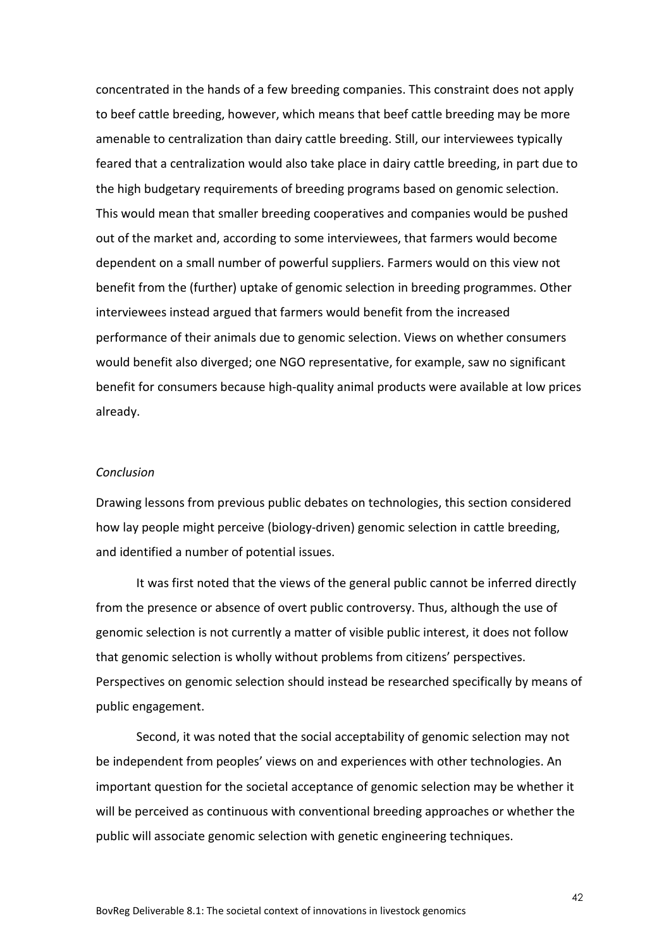concentrated in the hands of a few breeding companies. This constraint does not apply to beef cattle breeding, however, which means that beef cattle breeding may be more amenable to centralization than dairy cattle breeding. Still, our interviewees typically feared that a centralization would also take place in dairy cattle breeding, in part due to the high budgetary requirements of breeding programs based on genomic selection. This would mean that smaller breeding cooperatives and companies would be pushed out of the market and, according to some interviewees, that farmers would become dependent on a small number of powerful suppliers. Farmers would on this view not benefit from the (further) uptake of genomic selection in breeding programmes. Other interviewees instead argued that farmers would benefit from the increased performance of their animals due to genomic selection. Views on whether consumers would benefit also diverged; one NGO representative, for example, saw no significant benefit for consumers because high-quality animal products were available at low prices already.

#### *Conclusion*

Drawing lessons from previous public debates on technologies, this section considered how lay people might perceive (biology-driven) genomic selection in cattle breeding, and identified a number of potential issues.

It was first noted that the views of the general public cannot be inferred directly from the presence or absence of overt public controversy. Thus, although the use of genomic selection is not currently a matter of visible public interest, it does not follow that genomic selection is wholly without problems from citizens' perspectives. Perspectives on genomic selection should instead be researched specifically by means of public engagement.

Second, it was noted that the social acceptability of genomic selection may not be independent from peoples' views on and experiences with other technologies. An important question for the societal acceptance of genomic selection may be whether it will be perceived as continuous with conventional breeding approaches or whether the public will associate genomic selection with genetic engineering techniques.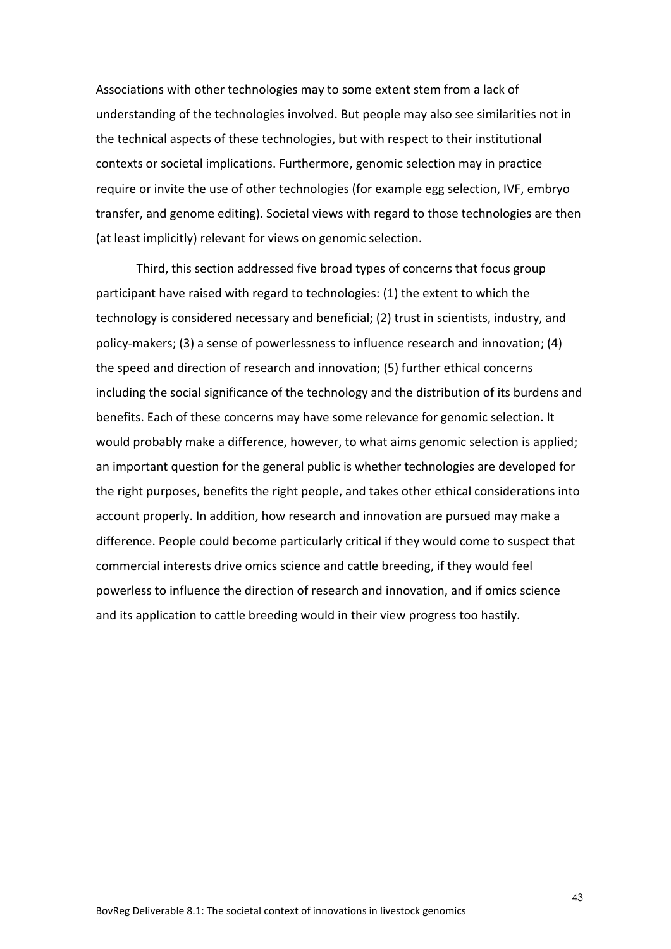Associations with other technologies may to some extent stem from a lack of understanding of the technologies involved. But people may also see similarities not in the technical aspects of these technologies, but with respect to their institutional contexts or societal implications. Furthermore, genomic selection may in practice require or invite the use of other technologies (for example egg selection, IVF, embryo transfer, and genome editing). Societal views with regard to those technologies are then (at least implicitly) relevant for views on genomic selection.

Third, this section addressed five broad types of concerns that focus group participant have raised with regard to technologies: (1) the extent to which the technology is considered necessary and beneficial; (2) trust in scientists, industry, and policy-makers; (3) a sense of powerlessness to influence research and innovation; (4) the speed and direction of research and innovation; (5) further ethical concerns including the social significance of the technology and the distribution of its burdens and benefits. Each of these concerns may have some relevance for genomic selection. It would probably make a difference, however, to what aims genomic selection is applied; an important question for the general public is whether technologies are developed for the right purposes, benefits the right people, and takes other ethical considerations into account properly. In addition, how research and innovation are pursued may make a difference. People could become particularly critical if they would come to suspect that commercial interests drive omics science and cattle breeding, if they would feel powerless to influence the direction of research and innovation, and if omics science and its application to cattle breeding would in their view progress too hastily.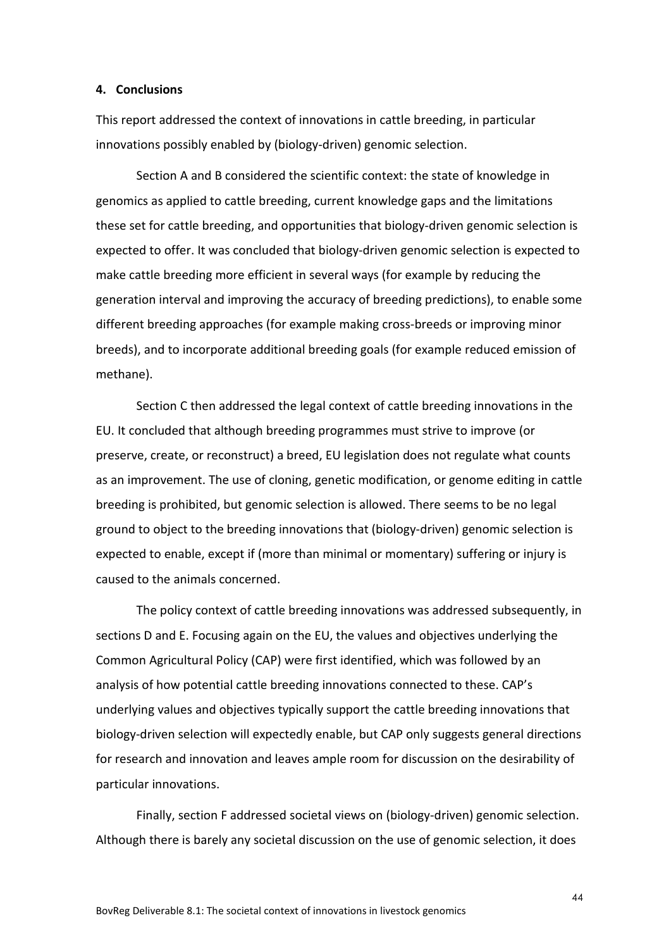#### <span id="page-44-0"></span>**4. Conclusions**

This report addressed the context of innovations in cattle breeding, in particular innovations possibly enabled by (biology-driven) genomic selection.

Section A and B considered the scientific context: the state of knowledge in genomics as applied to cattle breeding, current knowledge gaps and the limitations these set for cattle breeding, and opportunities that biology-driven genomic selection is expected to offer. It was concluded that biology-driven genomic selection is expected to make cattle breeding more efficient in several ways (for example by reducing the generation interval and improving the accuracy of breeding predictions), to enable some different breeding approaches (for example making cross-breeds or improving minor breeds), and to incorporate additional breeding goals (for example reduced emission of methane).

Section C then addressed the legal context of cattle breeding innovations in the EU. It concluded that although breeding programmes must strive to improve (or preserve, create, or reconstruct) a breed, EU legislation does not regulate what counts as an improvement. The use of cloning, genetic modification, or genome editing in cattle breeding is prohibited, but genomic selection is allowed. There seems to be no legal ground to object to the breeding innovations that (biology-driven) genomic selection is expected to enable, except if (more than minimal or momentary) suffering or injury is caused to the animals concerned.

The policy context of cattle breeding innovations was addressed subsequently, in sections D and E. Focusing again on the EU, the values and objectives underlying the Common Agricultural Policy (CAP) were first identified, which was followed by an analysis of how potential cattle breeding innovations connected to these. CAP's underlying values and objectives typically support the cattle breeding innovations that biology-driven selection will expectedly enable, but CAP only suggests general directions for research and innovation and leaves ample room for discussion on the desirability of particular innovations.

Finally, section F addressed societal views on (biology-driven) genomic selection. Although there is barely any societal discussion on the use of genomic selection, it does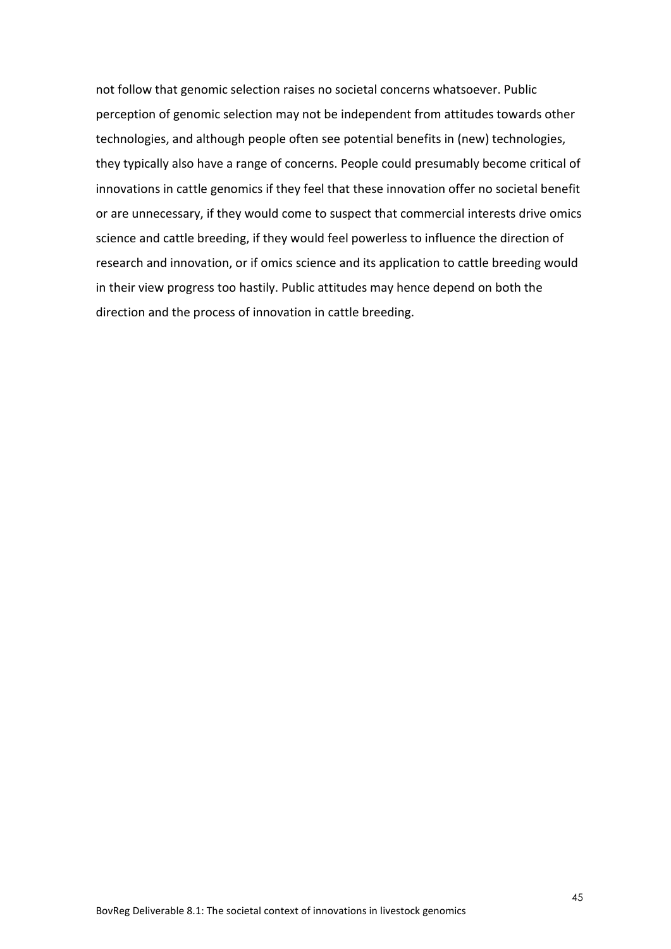not follow that genomic selection raises no societal concerns whatsoever. Public perception of genomic selection may not be independent from attitudes towards other technologies, and although people often see potential benefits in (new) technologies, they typically also have a range of concerns. People could presumably become critical of innovations in cattle genomics if they feel that these innovation offer no societal benefit or are unnecessary, if they would come to suspect that commercial interests drive omics science and cattle breeding, if they would feel powerless to influence the direction of research and innovation, or if omics science and its application to cattle breeding would in their view progress too hastily. Public attitudes may hence depend on both the direction and the process of innovation in cattle breeding.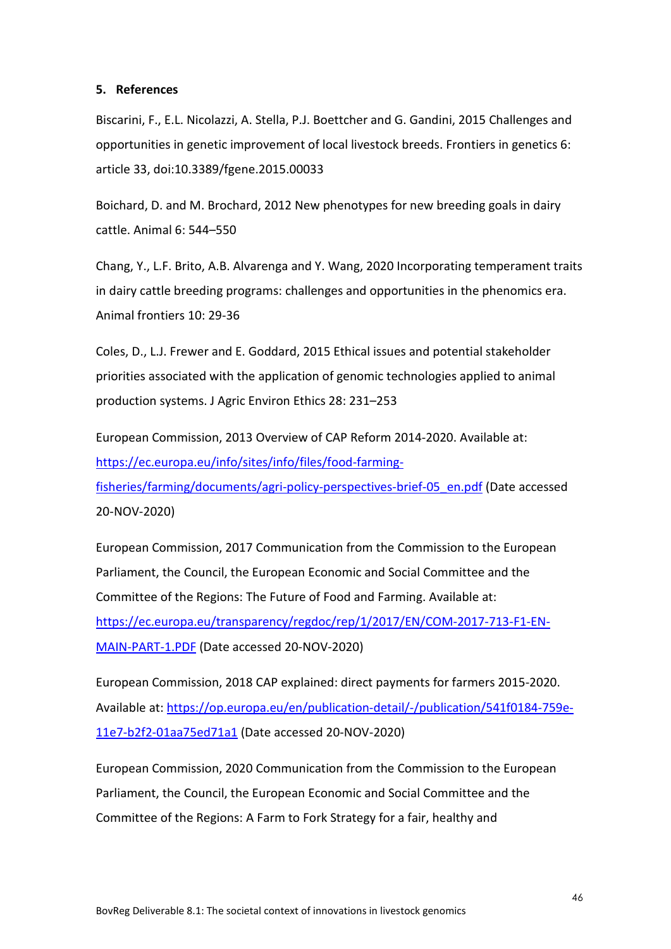#### <span id="page-46-0"></span>**5. References**

Biscarini, F., E.L. Nicolazzi, A. Stella, P.J. Boettcher and G. Gandini, 2015 Challenges and opportunities in genetic improvement of local livestock breeds. Frontiers in genetics 6: article 33, doi:10.3389/fgene.2015.00033

Boichard, D. and M. Brochard, 2012 New phenotypes for new breeding goals in dairy cattle. Animal 6: 544–550

Chang, Y., L.F. Brito, A.B. Alvarenga and Y. Wang, 2020 Incorporating temperament traits in dairy cattle breeding programs: challenges and opportunities in the phenomics era. Animal frontiers 10: 29-36

Coles, D., L.J. Frewer and E. Goddard, 2015 Ethical issues and potential stakeholder priorities associated with the application of genomic technologies applied to animal production systems. J Agric Environ Ethics 28: 231–253

European Commission, 2013 Overview of CAP Reform 2014-2020. Available at: [https://ec.europa.eu/info/sites/info/files/food-farming](https://ec.europa.eu/info/sites/info/files/food-farming-fisheries/farming/documents/agri-policy-perspectives-brief-05_en.pdf)[fisheries/farming/documents/agri-policy-perspectives-brief-05\\_en.pdf](https://ec.europa.eu/info/sites/info/files/food-farming-fisheries/farming/documents/agri-policy-perspectives-brief-05_en.pdf) (Date accessed 20-NOV-2020)

European Commission, 2017 Communication from the Commission to the European Parliament, the Council, the European Economic and Social Committee and the Committee of the Regions: The Future of Food and Farming. Available at: [https://ec.europa.eu/transparency/regdoc/rep/1/2017/EN/COM-2017-713-F1-EN-](https://ec.europa.eu/transparency/regdoc/rep/1/2017/EN/COM-2017-713-F1-EN-MAIN-PART-1.PDF)[MAIN-PART-1.PDF](https://ec.europa.eu/transparency/regdoc/rep/1/2017/EN/COM-2017-713-F1-EN-MAIN-PART-1.PDF) (Date accessed 20-NOV-2020)

European Commission, 2018 CAP explained: direct payments for farmers 2015-2020. Available at: [https://op.europa.eu/en/publication-detail/-/publication/541f0184-759e-](https://op.europa.eu/en/publication-detail/-/publication/541f0184-759e-11e7-b2f2-01aa75ed71a1)[11e7-b2f2-01aa75ed71a1](https://op.europa.eu/en/publication-detail/-/publication/541f0184-759e-11e7-b2f2-01aa75ed71a1) (Date accessed 20-NOV-2020)

European Commission, 2020 Communication from the Commission to the European Parliament, the Council, the European Economic and Social Committee and the Committee of the Regions: A Farm to Fork Strategy for a fair, healthy and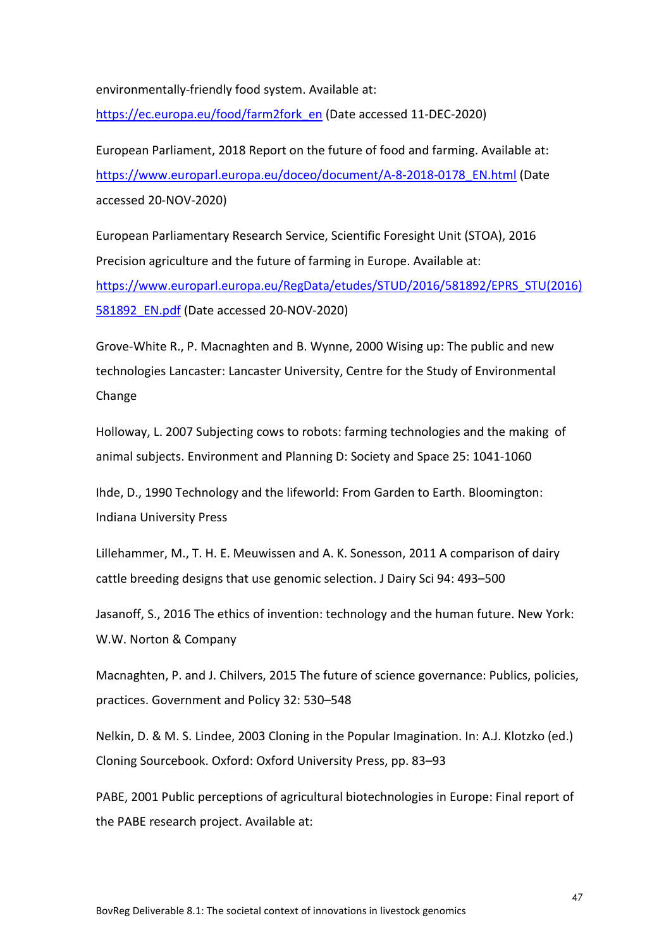environmentally-friendly food system. Available at:

[https://ec.europa.eu/food/farm2fork\\_en](https://ec.europa.eu/food/farm2fork_en) (Date accessed 11-DEC-2020)

European Parliament, 2018 Report on the future of food and farming. Available at: [https://www.europarl.europa.eu/doceo/document/A-8-2018-0178\\_EN.html](https://www.europarl.europa.eu/doceo/document/A-8-2018-0178_EN.html) (Date accessed 20-NOV-2020)

European Parliamentary Research Service, Scientific Foresight Unit (STOA), 2016 Precision agriculture and the future of farming in Europe. Available at: [https://www.europarl.europa.eu/RegData/etudes/STUD/2016/581892/EPRS\\_STU\(2016\)](https://www.europarl.europa.eu/RegData/etudes/STUD/2016/581892/EPRS_STU(2016)581892_EN.pdf) [581892\\_EN.pdf](https://www.europarl.europa.eu/RegData/etudes/STUD/2016/581892/EPRS_STU(2016)581892_EN.pdf) (Date accessed 20-NOV-2020)

Grove-White R., P. Macnaghten and B. Wynne, 2000 Wising up: The public and new technologies Lancaster: Lancaster University, Centre for the Study of Environmental Change

Holloway, L. 2007 Subjecting cows to robots: farming technologies and the making of animal subjects. Environment and Planning D: Society and Space 25: 1041-1060

Ihde, D., 1990 Technology and the lifeworld: From Garden to Earth. Bloomington: Indiana University Press

Lillehammer, M., T. H. E. Meuwissen and A. K. Sonesson, 2011 A comparison of dairy cattle breeding designs that use genomic selection. J Dairy Sci 94: 493–500

Jasanoff, S., 2016 The ethics of invention: technology and the human future. New York: W.W. Norton & Company

Macnaghten, P. and J. Chilvers, 2015 The future of science governance: Publics, policies, practices. Government and Policy 32: 530–548

Nelkin, D. & M. S. Lindee, 2003 Cloning in the Popular Imagination. In: A.J. Klotzko (ed.) Cloning Sourcebook. Oxford: Oxford University Press, pp. 83–93

PABE, 2001 Public perceptions of agricultural biotechnologies in Europe: Final report of the PABE research project. Available at: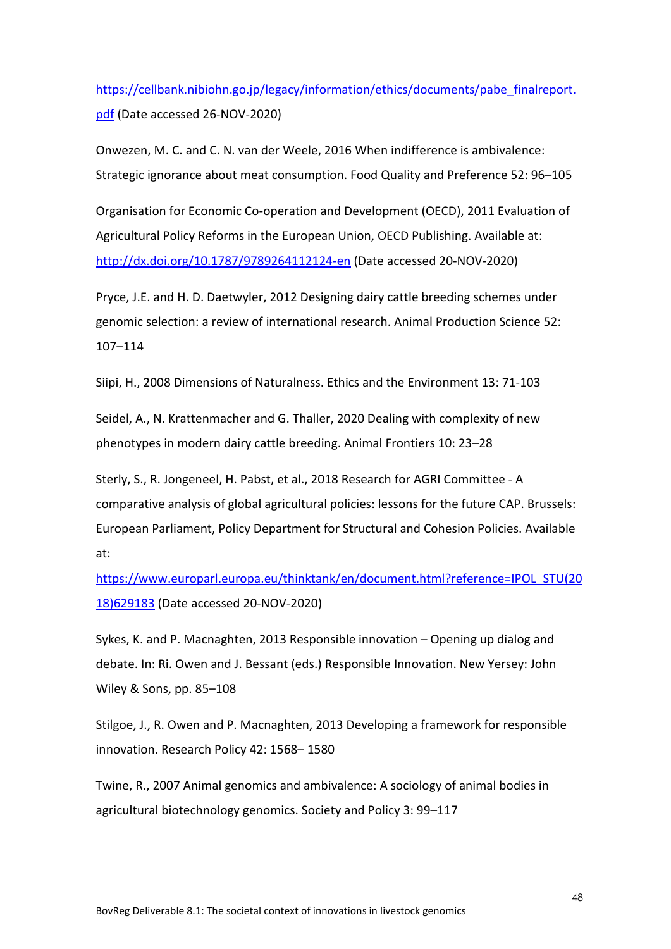[https://cellbank.nibiohn.go.jp/legacy/information/ethics/documents/pabe\\_finalreport.](https://cellbank.nibiohn.go.jp/legacy/information/ethics/documents/pabe_finalreport.pdf) [pdf](https://cellbank.nibiohn.go.jp/legacy/information/ethics/documents/pabe_finalreport.pdf) (Date accessed 26-NOV-2020)

Onwezen, M. C. and C. N. van der Weele, 2016 When indifference is ambivalence: Strategic ignorance about meat consumption. Food Quality and Preference 52: 96–105

Organisation for Economic Co-operation and Development (OECD), 2011 Evaluation of Agricultural Policy Reforms in the European Union, OECD Publishing. Available at: <http://dx.doi.org/10.1787/9789264112124-en> (Date accessed 20-NOV-2020)

Pryce, J.E. and H. D. Daetwyler, 2012 Designing dairy cattle breeding schemes under genomic selection: a review of international research. Animal Production Science 52: 107–114

Siipi, H., 2008 Dimensions of Naturalness. Ethics and the Environment 13: 71-103

Seidel, A., N. Krattenmacher and G. Thaller, 2020 Dealing with complexity of new phenotypes in modern dairy cattle breeding. Animal Frontiers 10: 23–28

Sterly, S., R. Jongeneel, H. Pabst, et al., 2018 Research for AGRI Committee - A comparative analysis of global agricultural policies: lessons for the future CAP. Brussels: European Parliament, Policy Department for Structural and Cohesion Policies. Available at:

[https://www.europarl.europa.eu/thinktank/en/document.html?reference=IPOL\\_STU\(20](https://www.europarl.europa.eu/thinktank/en/document.html?reference=IPOL_STU(2018)629183) [18\)629183](https://www.europarl.europa.eu/thinktank/en/document.html?reference=IPOL_STU(2018)629183) (Date accessed 20-NOV-2020)

Sykes, K. and P. Macnaghten, 2013 Responsible innovation – Opening up dialog and debate. In: Ri. Owen and J. Bessant (eds.) Responsible Innovation. New Yersey: John Wiley & Sons, pp. 85–108

Stilgoe, J., R. Owen and P. Macnaghten, 2013 Developing a framework for responsible innovation. Research Policy 42: 1568– 1580

Twine, R., 2007 Animal genomics and ambivalence: A sociology of animal bodies in agricultural biotechnology genomics. Society and Policy 3: 99–117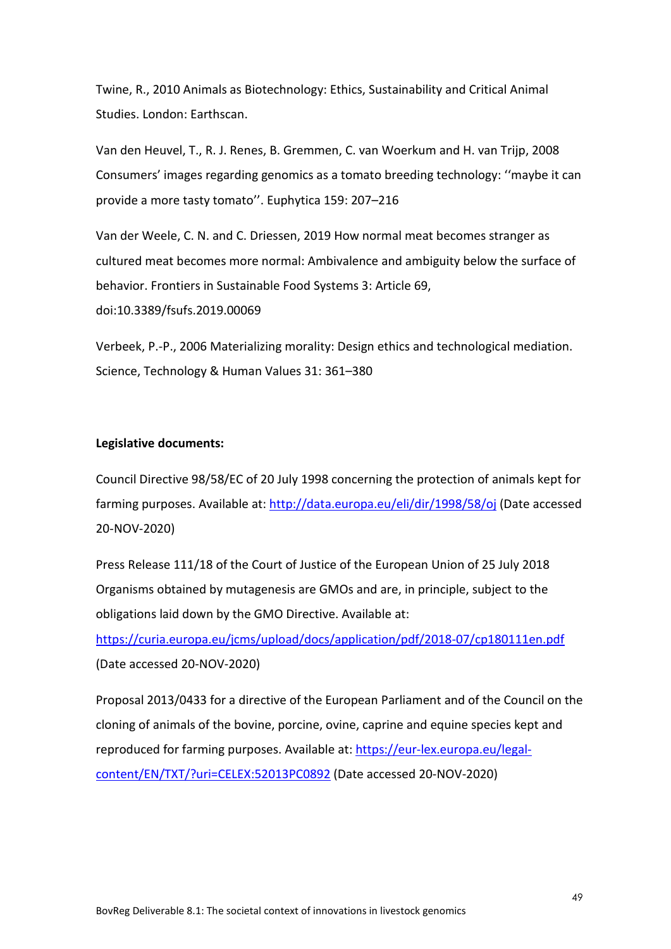Twine, R., 2010 Animals as Biotechnology: Ethics, Sustainability and Critical Animal Studies. London: Earthscan.

Van den Heuvel, T., R. J. Renes, B. Gremmen, C. van Woerkum and H. van Trijp, 2008 Consumers' images regarding genomics as a tomato breeding technology: ''maybe it can provide a more tasty tomato''. Euphytica 159: 207–216

Van der Weele, C. N. and C. Driessen, 2019 How normal meat becomes stranger as cultured meat becomes more normal: Ambivalence and ambiguity below the surface of behavior. Frontiers in Sustainable Food Systems 3: Article 69, doi:10.3389/fsufs.2019.00069

Verbeek, P.-P., 2006 Materializing morality: Design ethics and technological mediation. Science, Technology & Human Values 31: 361–380

#### **Legislative documents:**

Council Directive 98/58/EC of 20 July 1998 concerning the protection of animals kept for farming purposes. Available at: <http://data.europa.eu/eli/dir/1998/58/oj> (Date accessed 20-NOV-2020)

Press Release 111/18 of the Court of Justice of the European Union of 25 July 2018 Organisms obtained by mutagenesis are GMOs and are, in principle, subject to the obligations laid down by the GMO Directive. Available at:

<https://curia.europa.eu/jcms/upload/docs/application/pdf/2018-07/cp180111en.pdf> (Date accessed 20-NOV-2020)

Proposal 2013/0433 for a directive of the European Parliament and of the Council on the cloning of animals of the bovine, porcine, ovine, caprine and equine species kept and reproduced for farming purposes. Available at: [https://eur-lex.europa.eu/legal](https://eur-lex.europa.eu/legal-content/EN/TXT/?uri=CELEX:52013PC0892)[content/EN/TXT/?uri=CELEX:52013PC0892](https://eur-lex.europa.eu/legal-content/EN/TXT/?uri=CELEX:52013PC0892) (Date accessed 20-NOV-2020)